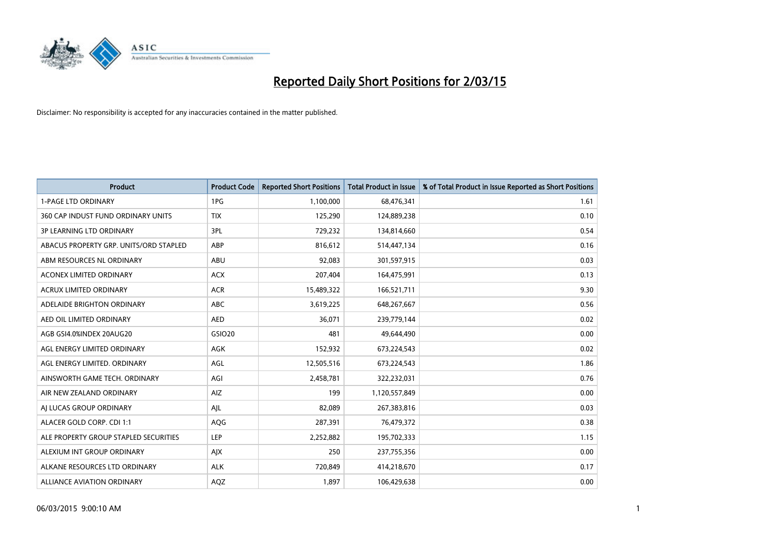

| <b>Product</b>                         | <b>Product Code</b> | <b>Reported Short Positions</b> | <b>Total Product in Issue</b> | % of Total Product in Issue Reported as Short Positions |
|----------------------------------------|---------------------|---------------------------------|-------------------------------|---------------------------------------------------------|
| <b>1-PAGE LTD ORDINARY</b>             | 1PG                 | 1,100,000                       | 68,476,341                    | 1.61                                                    |
| 360 CAP INDUST FUND ORDINARY UNITS     | <b>TIX</b>          | 125,290                         | 124,889,238                   | 0.10                                                    |
| <b>3P LEARNING LTD ORDINARY</b>        | 3PL                 | 729,232                         | 134,814,660                   | 0.54                                                    |
| ABACUS PROPERTY GRP. UNITS/ORD STAPLED | ABP                 | 816,612                         | 514,447,134                   | 0.16                                                    |
| ABM RESOURCES NL ORDINARY              | ABU                 | 92,083                          | 301,597,915                   | 0.03                                                    |
| <b>ACONEX LIMITED ORDINARY</b>         | <b>ACX</b>          | 207,404                         | 164,475,991                   | 0.13                                                    |
| ACRUX LIMITED ORDINARY                 | <b>ACR</b>          | 15,489,322                      | 166,521,711                   | 9.30                                                    |
| ADELAIDE BRIGHTON ORDINARY             | <b>ABC</b>          | 3,619,225                       | 648,267,667                   | 0.56                                                    |
| AED OIL LIMITED ORDINARY               | <b>AED</b>          | 36,071                          | 239,779,144                   | 0.02                                                    |
| AGB GSI4.0%INDEX 20AUG20               | GSIO20              | 481                             | 49,644,490                    | 0.00                                                    |
| AGL ENERGY LIMITED ORDINARY            | AGK                 | 152,932                         | 673,224,543                   | 0.02                                                    |
| AGL ENERGY LIMITED. ORDINARY           | AGL                 | 12,505,516                      | 673,224,543                   | 1.86                                                    |
| AINSWORTH GAME TECH. ORDINARY          | AGI                 | 2,458,781                       | 322,232,031                   | 0.76                                                    |
| AIR NEW ZEALAND ORDINARY               | AIZ                 | 199                             | 1,120,557,849                 | 0.00                                                    |
| AI LUCAS GROUP ORDINARY                | AJL                 | 82,089                          | 267,383,816                   | 0.03                                                    |
| ALACER GOLD CORP. CDI 1:1              | AQG                 | 287,391                         | 76,479,372                    | 0.38                                                    |
| ALE PROPERTY GROUP STAPLED SECURITIES  | LEP                 | 2,252,882                       | 195,702,333                   | 1.15                                                    |
| ALEXIUM INT GROUP ORDINARY             | AJX                 | 250                             | 237,755,356                   | 0.00                                                    |
| ALKANE RESOURCES LTD ORDINARY          | <b>ALK</b>          | 720,849                         | 414,218,670                   | 0.17                                                    |
| ALLIANCE AVIATION ORDINARY             | AQZ                 | 1,897                           | 106,429,638                   | 0.00                                                    |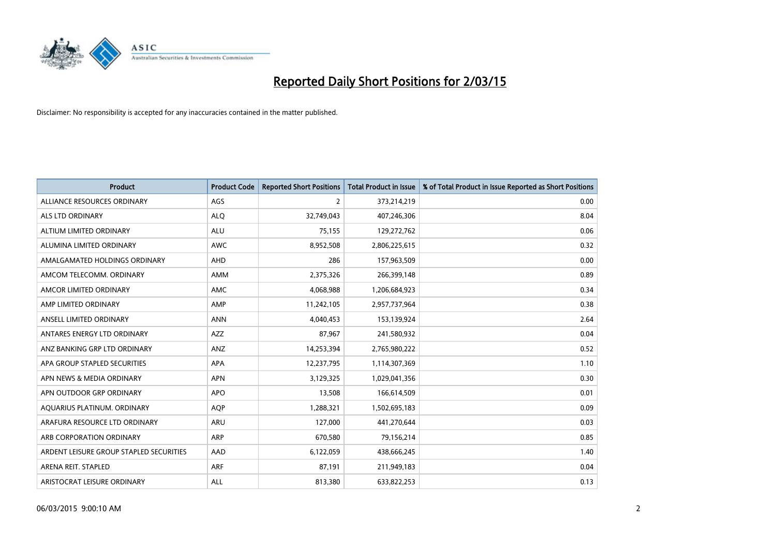

| <b>Product</b>                          | <b>Product Code</b> | <b>Reported Short Positions</b> | <b>Total Product in Issue</b> | % of Total Product in Issue Reported as Short Positions |
|-----------------------------------------|---------------------|---------------------------------|-------------------------------|---------------------------------------------------------|
| ALLIANCE RESOURCES ORDINARY             | AGS                 | 2                               | 373,214,219                   | 0.00                                                    |
| ALS LTD ORDINARY                        | <b>ALQ</b>          | 32,749,043                      | 407,246,306                   | 8.04                                                    |
| ALTIUM LIMITED ORDINARY                 | <b>ALU</b>          | 75,155                          | 129,272,762                   | 0.06                                                    |
| ALUMINA LIMITED ORDINARY                | <b>AWC</b>          | 8,952,508                       | 2,806,225,615                 | 0.32                                                    |
| AMALGAMATED HOLDINGS ORDINARY           | AHD                 | 286                             | 157,963,509                   | 0.00                                                    |
| AMCOM TELECOMM, ORDINARY                | AMM                 | 2,375,326                       | 266,399,148                   | 0.89                                                    |
| AMCOR LIMITED ORDINARY                  | AMC                 | 4,068,988                       | 1,206,684,923                 | 0.34                                                    |
| AMP LIMITED ORDINARY                    | AMP                 | 11,242,105                      | 2,957,737,964                 | 0.38                                                    |
| ANSELL LIMITED ORDINARY                 | <b>ANN</b>          | 4,040,453                       | 153,139,924                   | 2.64                                                    |
| ANTARES ENERGY LTD ORDINARY             | <b>AZZ</b>          | 87,967                          | 241,580,932                   | 0.04                                                    |
| ANZ BANKING GRP LTD ORDINARY            | ANZ                 | 14,253,394                      | 2,765,980,222                 | 0.52                                                    |
| APA GROUP STAPLED SECURITIES            | APA                 | 12,237,795                      | 1,114,307,369                 | 1.10                                                    |
| APN NEWS & MEDIA ORDINARY               | <b>APN</b>          | 3,129,325                       | 1,029,041,356                 | 0.30                                                    |
| APN OUTDOOR GRP ORDINARY                | <b>APO</b>          | 13,508                          | 166,614,509                   | 0.01                                                    |
| AQUARIUS PLATINUM. ORDINARY             | AQP                 | 1,288,321                       | 1,502,695,183                 | 0.09                                                    |
| ARAFURA RESOURCE LTD ORDINARY           | ARU                 | 127,000                         | 441,270,644                   | 0.03                                                    |
| ARB CORPORATION ORDINARY                | ARP                 | 670,580                         | 79,156,214                    | 0.85                                                    |
| ARDENT LEISURE GROUP STAPLED SECURITIES | AAD                 | 6,122,059                       | 438,666,245                   | 1.40                                                    |
| ARENA REIT. STAPLED                     | <b>ARF</b>          | 87,191                          | 211,949,183                   | 0.04                                                    |
| ARISTOCRAT LEISURE ORDINARY             | ALL                 | 813,380                         | 633,822,253                   | 0.13                                                    |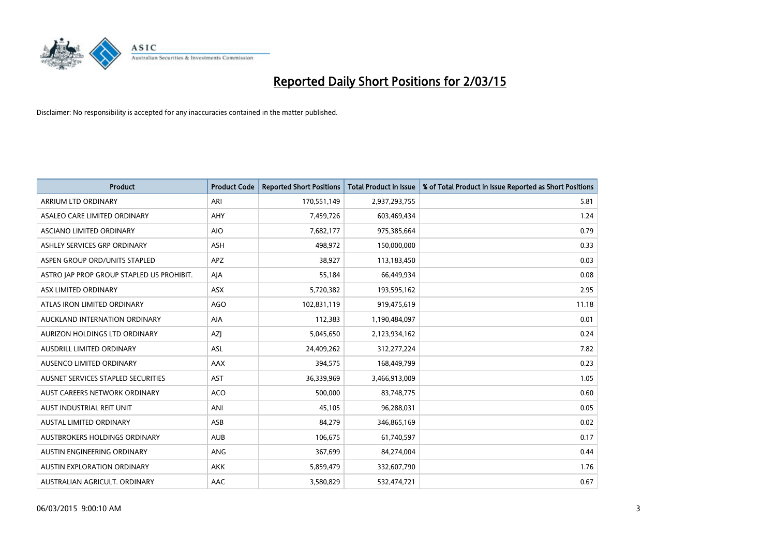

| <b>Product</b>                            | <b>Product Code</b> | <b>Reported Short Positions</b> | <b>Total Product in Issue</b> | % of Total Product in Issue Reported as Short Positions |
|-------------------------------------------|---------------------|---------------------------------|-------------------------------|---------------------------------------------------------|
| ARRIUM LTD ORDINARY                       | ARI                 | 170,551,149                     | 2,937,293,755                 | 5.81                                                    |
| ASALEO CARE LIMITED ORDINARY              | AHY                 | 7,459,726                       | 603,469,434                   | 1.24                                                    |
| ASCIANO LIMITED ORDINARY                  | <b>AIO</b>          | 7,682,177                       | 975,385,664                   | 0.79                                                    |
| ASHLEY SERVICES GRP ORDINARY              | <b>ASH</b>          | 498,972                         | 150,000,000                   | 0.33                                                    |
| ASPEN GROUP ORD/UNITS STAPLED             | <b>APZ</b>          | 38,927                          | 113,183,450                   | 0.03                                                    |
| ASTRO JAP PROP GROUP STAPLED US PROHIBIT. | AJA                 | 55,184                          | 66,449,934                    | 0.08                                                    |
| ASX LIMITED ORDINARY                      | ASX                 | 5,720,382                       | 193,595,162                   | 2.95                                                    |
| ATLAS IRON LIMITED ORDINARY               | <b>AGO</b>          | 102,831,119                     | 919,475,619                   | 11.18                                                   |
| AUCKLAND INTERNATION ORDINARY             | AIA                 | 112,383                         | 1,190,484,097                 | 0.01                                                    |
| AURIZON HOLDINGS LTD ORDINARY             | AZI                 | 5,045,650                       | 2,123,934,162                 | 0.24                                                    |
| AUSDRILL LIMITED ORDINARY                 | ASL                 | 24,409,262                      | 312,277,224                   | 7.82                                                    |
| AUSENCO LIMITED ORDINARY                  | <b>AAX</b>          | 394,575                         | 168,449,799                   | 0.23                                                    |
| AUSNET SERVICES STAPLED SECURITIES        | AST                 | 36,339,969                      | 3,466,913,009                 | 1.05                                                    |
| AUST CAREERS NETWORK ORDINARY             | <b>ACO</b>          | 500,000                         | 83,748,775                    | 0.60                                                    |
| AUST INDUSTRIAL REIT UNIT                 | ANI                 | 45,105                          | 96,288,031                    | 0.05                                                    |
| AUSTAL LIMITED ORDINARY                   | ASB                 | 84,279                          | 346,865,169                   | 0.02                                                    |
| AUSTBROKERS HOLDINGS ORDINARY             | <b>AUB</b>          | 106,675                         | 61,740,597                    | 0.17                                                    |
| AUSTIN ENGINEERING ORDINARY               | ANG                 | 367,699                         | 84,274,004                    | 0.44                                                    |
| <b>AUSTIN EXPLORATION ORDINARY</b>        | <b>AKK</b>          | 5,859,479                       | 332,607,790                   | 1.76                                                    |
| AUSTRALIAN AGRICULT. ORDINARY             | AAC                 | 3,580,829                       | 532,474,721                   | 0.67                                                    |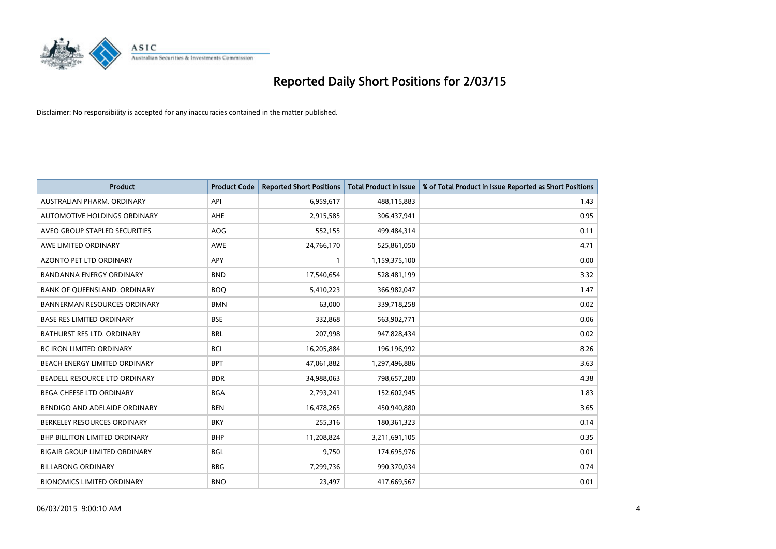

| <b>Product</b>                       | <b>Product Code</b> | <b>Reported Short Positions</b> | <b>Total Product in Issue</b> | % of Total Product in Issue Reported as Short Positions |
|--------------------------------------|---------------------|---------------------------------|-------------------------------|---------------------------------------------------------|
| AUSTRALIAN PHARM, ORDINARY           | API                 | 6,959,617                       | 488,115,883                   | 1.43                                                    |
| AUTOMOTIVE HOLDINGS ORDINARY         | AHE                 | 2,915,585                       | 306,437,941                   | 0.95                                                    |
| AVEO GROUP STAPLED SECURITIES        | <b>AOG</b>          | 552,155                         | 499,484,314                   | 0.11                                                    |
| AWE LIMITED ORDINARY                 | AWE                 | 24,766,170                      | 525,861,050                   | 4.71                                                    |
| <b>AZONTO PET LTD ORDINARY</b>       | <b>APY</b>          | 1                               | 1,159,375,100                 | 0.00                                                    |
| <b>BANDANNA ENERGY ORDINARY</b>      | <b>BND</b>          | 17,540,654                      | 528,481,199                   | 3.32                                                    |
| BANK OF QUEENSLAND. ORDINARY         | <b>BOQ</b>          | 5,410,223                       | 366,982,047                   | 1.47                                                    |
| <b>BANNERMAN RESOURCES ORDINARY</b>  | <b>BMN</b>          | 63,000                          | 339,718,258                   | 0.02                                                    |
| <b>BASE RES LIMITED ORDINARY</b>     | <b>BSE</b>          | 332,868                         | 563,902,771                   | 0.06                                                    |
| <b>BATHURST RES LTD. ORDINARY</b>    | <b>BRL</b>          | 207,998                         | 947,828,434                   | 0.02                                                    |
| BC IRON LIMITED ORDINARY             | BCI                 | 16,205,884                      | 196,196,992                   | 8.26                                                    |
| BEACH ENERGY LIMITED ORDINARY        | <b>BPT</b>          | 47,061,882                      | 1,297,496,886                 | 3.63                                                    |
| BEADELL RESOURCE LTD ORDINARY        | <b>BDR</b>          | 34,988,063                      | 798,657,280                   | 4.38                                                    |
| <b>BEGA CHEESE LTD ORDINARY</b>      | <b>BGA</b>          | 2,793,241                       | 152,602,945                   | 1.83                                                    |
| BENDIGO AND ADELAIDE ORDINARY        | <b>BEN</b>          | 16,478,265                      | 450,940,880                   | 3.65                                                    |
| BERKELEY RESOURCES ORDINARY          | <b>BKY</b>          | 255,316                         | 180,361,323                   | 0.14                                                    |
| BHP BILLITON LIMITED ORDINARY        | <b>BHP</b>          | 11,208,824                      | 3,211,691,105                 | 0.35                                                    |
| <b>BIGAIR GROUP LIMITED ORDINARY</b> | <b>BGL</b>          | 9,750                           | 174,695,976                   | 0.01                                                    |
| <b>BILLABONG ORDINARY</b>            | <b>BBG</b>          | 7,299,736                       | 990,370,034                   | 0.74                                                    |
| <b>BIONOMICS LIMITED ORDINARY</b>    | <b>BNO</b>          | 23,497                          | 417,669,567                   | 0.01                                                    |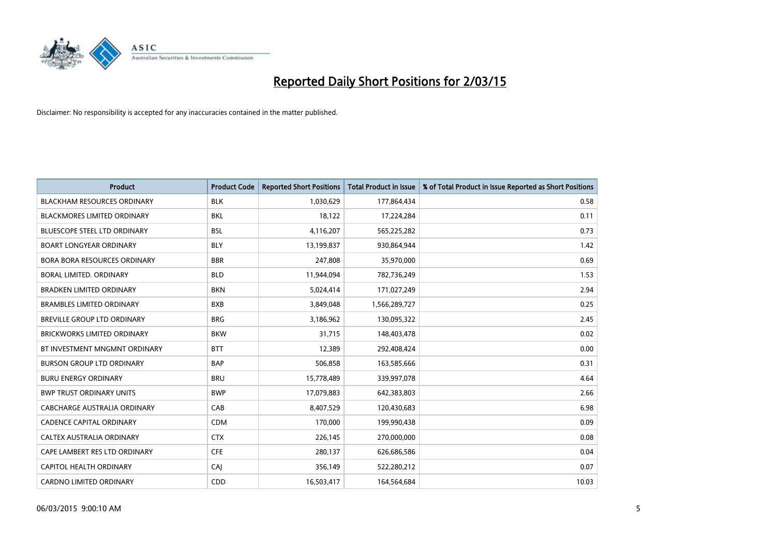

| <b>Product</b>                      | <b>Product Code</b> | <b>Reported Short Positions</b> | <b>Total Product in Issue</b> | % of Total Product in Issue Reported as Short Positions |
|-------------------------------------|---------------------|---------------------------------|-------------------------------|---------------------------------------------------------|
| <b>BLACKHAM RESOURCES ORDINARY</b>  | <b>BLK</b>          | 1,030,629                       | 177,864,434                   | 0.58                                                    |
| <b>BLACKMORES LIMITED ORDINARY</b>  | BKL                 | 18,122                          | 17,224,284                    | 0.11                                                    |
| <b>BLUESCOPE STEEL LTD ORDINARY</b> | <b>BSL</b>          | 4,116,207                       | 565,225,282                   | 0.73                                                    |
| <b>BOART LONGYEAR ORDINARY</b>      | <b>BLY</b>          | 13,199,837                      | 930,864,944                   | 1.42                                                    |
| <b>BORA BORA RESOURCES ORDINARY</b> | <b>BBR</b>          | 247,808                         | 35,970,000                    | 0.69                                                    |
| BORAL LIMITED, ORDINARY             | <b>BLD</b>          | 11,944,094                      | 782,736,249                   | 1.53                                                    |
| <b>BRADKEN LIMITED ORDINARY</b>     | <b>BKN</b>          | 5,024,414                       | 171,027,249                   | 2.94                                                    |
| <b>BRAMBLES LIMITED ORDINARY</b>    | <b>BXB</b>          | 3,849,048                       | 1,566,289,727                 | 0.25                                                    |
| BREVILLE GROUP LTD ORDINARY         | <b>BRG</b>          | 3,186,962                       | 130,095,322                   | 2.45                                                    |
| <b>BRICKWORKS LIMITED ORDINARY</b>  | <b>BKW</b>          | 31,715                          | 148,403,478                   | 0.02                                                    |
| BT INVESTMENT MNGMNT ORDINARY       | <b>BTT</b>          | 12,389                          | 292,408,424                   | 0.00                                                    |
| <b>BURSON GROUP LTD ORDINARY</b>    | <b>BAP</b>          | 506,858                         | 163,585,666                   | 0.31                                                    |
| <b>BURU ENERGY ORDINARY</b>         | <b>BRU</b>          | 15,778,489                      | 339,997,078                   | 4.64                                                    |
| <b>BWP TRUST ORDINARY UNITS</b>     | <b>BWP</b>          | 17,079,883                      | 642,383,803                   | 2.66                                                    |
| <b>CABCHARGE AUSTRALIA ORDINARY</b> | CAB                 | 8,407,529                       | 120,430,683                   | 6.98                                                    |
| <b>CADENCE CAPITAL ORDINARY</b>     | <b>CDM</b>          | 170,000                         | 199,990,438                   | 0.09                                                    |
| CALTEX AUSTRALIA ORDINARY           | <b>CTX</b>          | 226,145                         | 270,000,000                   | 0.08                                                    |
| CAPE LAMBERT RES LTD ORDINARY       | <b>CFE</b>          | 280,137                         | 626,686,586                   | 0.04                                                    |
| <b>CAPITOL HEALTH ORDINARY</b>      | CAI                 | 356,149                         | 522,280,212                   | 0.07                                                    |
| <b>CARDNO LIMITED ORDINARY</b>      | CDD                 | 16,503,417                      | 164,564,684                   | 10.03                                                   |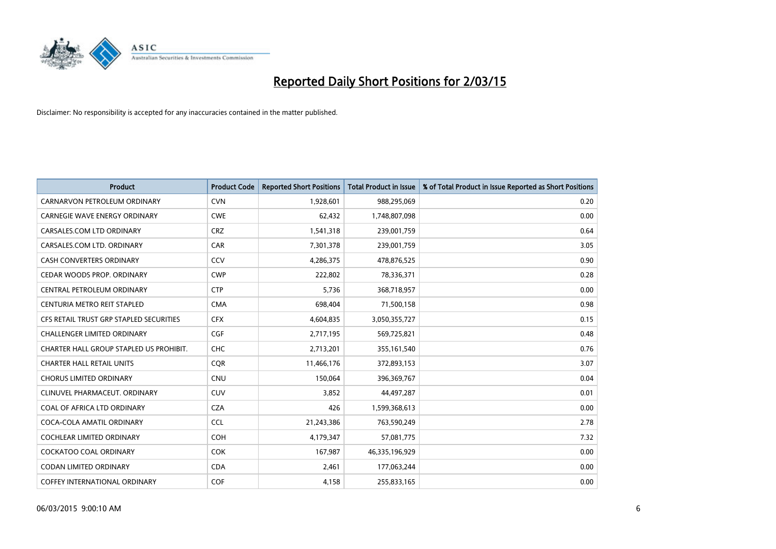

| <b>Product</b>                          | <b>Product Code</b> | <b>Reported Short Positions</b> | <b>Total Product in Issue</b> | % of Total Product in Issue Reported as Short Positions |
|-----------------------------------------|---------------------|---------------------------------|-------------------------------|---------------------------------------------------------|
| CARNARVON PETROLEUM ORDINARY            | <b>CVN</b>          | 1,928,601                       | 988,295,069                   | 0.20                                                    |
| <b>CARNEGIE WAVE ENERGY ORDINARY</b>    | <b>CWE</b>          | 62,432                          | 1,748,807,098                 | 0.00                                                    |
| CARSALES.COM LTD ORDINARY               | <b>CRZ</b>          | 1,541,318                       | 239,001,759                   | 0.64                                                    |
| CARSALES.COM LTD. ORDINARY              | CAR                 | 7,301,378                       | 239,001,759                   | 3.05                                                    |
| <b>CASH CONVERTERS ORDINARY</b>         | CCV                 | 4,286,375                       | 478,876,525                   | 0.90                                                    |
| CEDAR WOODS PROP. ORDINARY              | <b>CWP</b>          | 222,802                         | 78,336,371                    | 0.28                                                    |
| CENTRAL PETROLEUM ORDINARY              | <b>CTP</b>          | 5,736                           | 368,718,957                   | 0.00                                                    |
| CENTURIA METRO REIT STAPLED             | <b>CMA</b>          | 698,404                         | 71,500,158                    | 0.98                                                    |
| CFS RETAIL TRUST GRP STAPLED SECURITIES | <b>CFX</b>          | 4,604,835                       | 3,050,355,727                 | 0.15                                                    |
| <b>CHALLENGER LIMITED ORDINARY</b>      | <b>CGF</b>          | 2,717,195                       | 569,725,821                   | 0.48                                                    |
| CHARTER HALL GROUP STAPLED US PROHIBIT. | <b>CHC</b>          | 2,713,201                       | 355,161,540                   | 0.76                                                    |
| <b>CHARTER HALL RETAIL UNITS</b>        | <b>COR</b>          | 11,466,176                      | 372,893,153                   | 3.07                                                    |
| <b>CHORUS LIMITED ORDINARY</b>          | <b>CNU</b>          | 150,064                         | 396,369,767                   | 0.04                                                    |
| CLINUVEL PHARMACEUT, ORDINARY           | <b>CUV</b>          | 3,852                           | 44,497,287                    | 0.01                                                    |
| COAL OF AFRICA LTD ORDINARY             | <b>CZA</b>          | 426                             | 1,599,368,613                 | 0.00                                                    |
| COCA-COLA AMATIL ORDINARY               | <b>CCL</b>          | 21,243,386                      | 763,590,249                   | 2.78                                                    |
| COCHLEAR LIMITED ORDINARY               | <b>COH</b>          | 4,179,347                       | 57,081,775                    | 7.32                                                    |
| <b>COCKATOO COAL ORDINARY</b>           | <b>COK</b>          | 167,987                         | 46,335,196,929                | 0.00                                                    |
| <b>CODAN LIMITED ORDINARY</b>           | <b>CDA</b>          | 2,461                           | 177,063,244                   | 0.00                                                    |
| <b>COFFEY INTERNATIONAL ORDINARY</b>    | <b>COF</b>          | 4,158                           | 255,833,165                   | 0.00                                                    |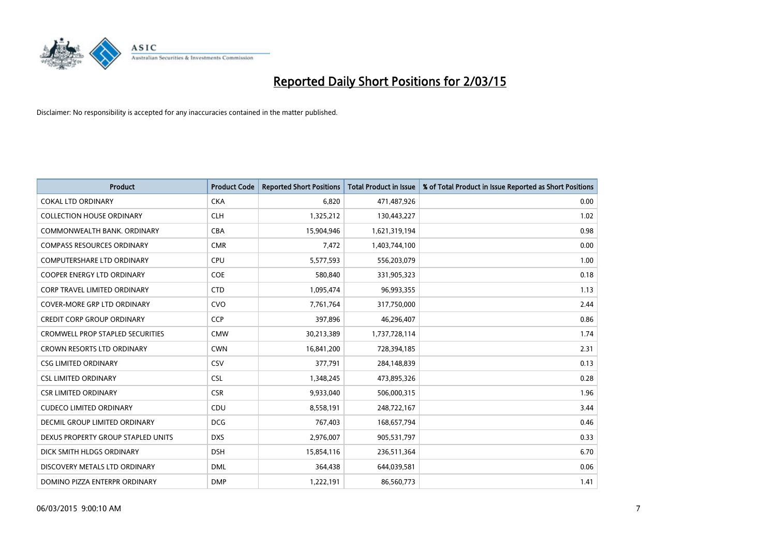

| <b>Product</b>                          | <b>Product Code</b> | <b>Reported Short Positions</b> | <b>Total Product in Issue</b> | % of Total Product in Issue Reported as Short Positions |
|-----------------------------------------|---------------------|---------------------------------|-------------------------------|---------------------------------------------------------|
| <b>COKAL LTD ORDINARY</b>               | <b>CKA</b>          | 6.820                           | 471,487,926                   | 0.00                                                    |
| <b>COLLECTION HOUSE ORDINARY</b>        | <b>CLH</b>          | 1,325,212                       | 130,443,227                   | 1.02                                                    |
| COMMONWEALTH BANK, ORDINARY             | <b>CBA</b>          | 15,904,946                      | 1,621,319,194                 | 0.98                                                    |
| <b>COMPASS RESOURCES ORDINARY</b>       | <b>CMR</b>          | 7,472                           | 1,403,744,100                 | 0.00                                                    |
| <b>COMPUTERSHARE LTD ORDINARY</b>       | <b>CPU</b>          | 5,577,593                       | 556,203,079                   | 1.00                                                    |
| <b>COOPER ENERGY LTD ORDINARY</b>       | <b>COE</b>          | 580,840                         | 331,905,323                   | 0.18                                                    |
| <b>CORP TRAVEL LIMITED ORDINARY</b>     | <b>CTD</b>          | 1,095,474                       | 96,993,355                    | 1.13                                                    |
| COVER-MORE GRP LTD ORDINARY             | <b>CVO</b>          | 7,761,764                       | 317,750,000                   | 2.44                                                    |
| <b>CREDIT CORP GROUP ORDINARY</b>       | <b>CCP</b>          | 397,896                         | 46,296,407                    | 0.86                                                    |
| <b>CROMWELL PROP STAPLED SECURITIES</b> | <b>CMW</b>          | 30,213,389                      | 1,737,728,114                 | 1.74                                                    |
| CROWN RESORTS LTD ORDINARY              | <b>CWN</b>          | 16,841,200                      | 728,394,185                   | 2.31                                                    |
| <b>CSG LIMITED ORDINARY</b>             | CSV                 | 377,791                         | 284,148,839                   | 0.13                                                    |
| <b>CSL LIMITED ORDINARY</b>             | <b>CSL</b>          | 1,348,245                       | 473,895,326                   | 0.28                                                    |
| <b>CSR LIMITED ORDINARY</b>             | <b>CSR</b>          | 9,933,040                       | 506,000,315                   | 1.96                                                    |
| <b>CUDECO LIMITED ORDINARY</b>          | CDU                 | 8,558,191                       | 248,722,167                   | 3.44                                                    |
| DECMIL GROUP LIMITED ORDINARY           | <b>DCG</b>          | 767,403                         | 168,657,794                   | 0.46                                                    |
| DEXUS PROPERTY GROUP STAPLED UNITS      | <b>DXS</b>          | 2,976,007                       | 905,531,797                   | 0.33                                                    |
| DICK SMITH HLDGS ORDINARY               | <b>DSH</b>          | 15,854,116                      | 236,511,364                   | 6.70                                                    |
| DISCOVERY METALS LTD ORDINARY           | <b>DML</b>          | 364,438                         | 644,039,581                   | 0.06                                                    |
| DOMINO PIZZA ENTERPR ORDINARY           | <b>DMP</b>          | 1,222,191                       | 86,560,773                    | 1.41                                                    |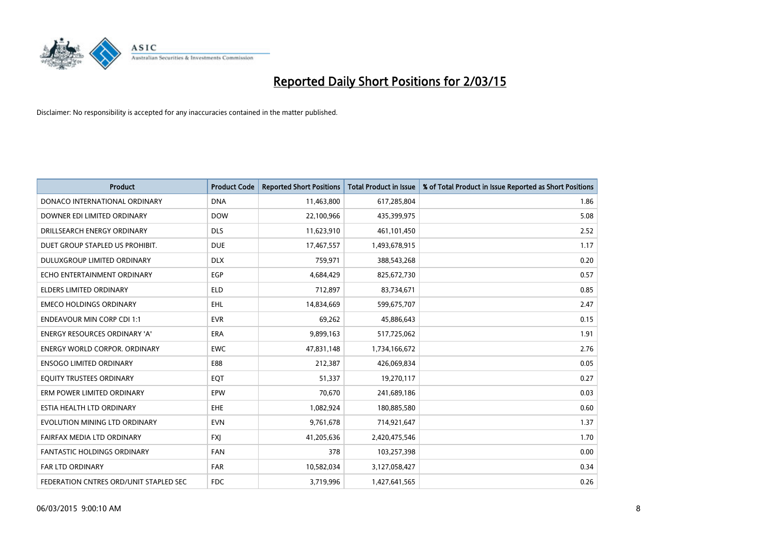

| <b>Product</b>                         | <b>Product Code</b> | <b>Reported Short Positions</b> | <b>Total Product in Issue</b> | % of Total Product in Issue Reported as Short Positions |
|----------------------------------------|---------------------|---------------------------------|-------------------------------|---------------------------------------------------------|
| DONACO INTERNATIONAL ORDINARY          | <b>DNA</b>          | 11,463,800                      | 617,285,804                   | 1.86                                                    |
| DOWNER EDI LIMITED ORDINARY            | <b>DOW</b>          | 22,100,966                      | 435,399,975                   | 5.08                                                    |
| DRILLSEARCH ENERGY ORDINARY            | <b>DLS</b>          | 11,623,910                      | 461,101,450                   | 2.52                                                    |
| DUET GROUP STAPLED US PROHIBIT.        | <b>DUE</b>          | 17,467,557                      | 1,493,678,915                 | 1.17                                                    |
| <b>DULUXGROUP LIMITED ORDINARY</b>     | <b>DLX</b>          | 759,971                         | 388,543,268                   | 0.20                                                    |
| ECHO ENTERTAINMENT ORDINARY            | EGP                 | 4,684,429                       | 825,672,730                   | 0.57                                                    |
| <b>ELDERS LIMITED ORDINARY</b>         | <b>ELD</b>          | 712,897                         | 83,734,671                    | 0.85                                                    |
| <b>EMECO HOLDINGS ORDINARY</b>         | <b>EHL</b>          | 14,834,669                      | 599,675,707                   | 2.47                                                    |
| <b>ENDEAVOUR MIN CORP CDI 1:1</b>      | <b>EVR</b>          | 69,262                          | 45,886,643                    | 0.15                                                    |
| <b>ENERGY RESOURCES ORDINARY 'A'</b>   | <b>ERA</b>          | 9,899,163                       | 517,725,062                   | 1.91                                                    |
| <b>ENERGY WORLD CORPOR. ORDINARY</b>   | <b>EWC</b>          | 47,831,148                      | 1,734,166,672                 | 2.76                                                    |
| <b>ENSOGO LIMITED ORDINARY</b>         | E88                 | 212,387                         | 426,069,834                   | 0.05                                                    |
| EQUITY TRUSTEES ORDINARY               | EQT                 | 51,337                          | 19,270,117                    | 0.27                                                    |
| ERM POWER LIMITED ORDINARY             | EPW                 | 70,670                          | 241,689,186                   | 0.03                                                    |
| ESTIA HEALTH LTD ORDINARY              | EHE                 | 1,082,924                       | 180,885,580                   | 0.60                                                    |
| EVOLUTION MINING LTD ORDINARY          | <b>EVN</b>          | 9,761,678                       | 714,921,647                   | 1.37                                                    |
| FAIRFAX MEDIA LTD ORDINARY             | <b>FXI</b>          | 41,205,636                      | 2,420,475,546                 | 1.70                                                    |
| FANTASTIC HOLDINGS ORDINARY            | <b>FAN</b>          | 378                             | 103,257,398                   | 0.00                                                    |
| FAR LTD ORDINARY                       | <b>FAR</b>          | 10,582,034                      | 3,127,058,427                 | 0.34                                                    |
| FEDERATION CNTRES ORD/UNIT STAPLED SEC | <b>FDC</b>          | 3,719,996                       | 1,427,641,565                 | 0.26                                                    |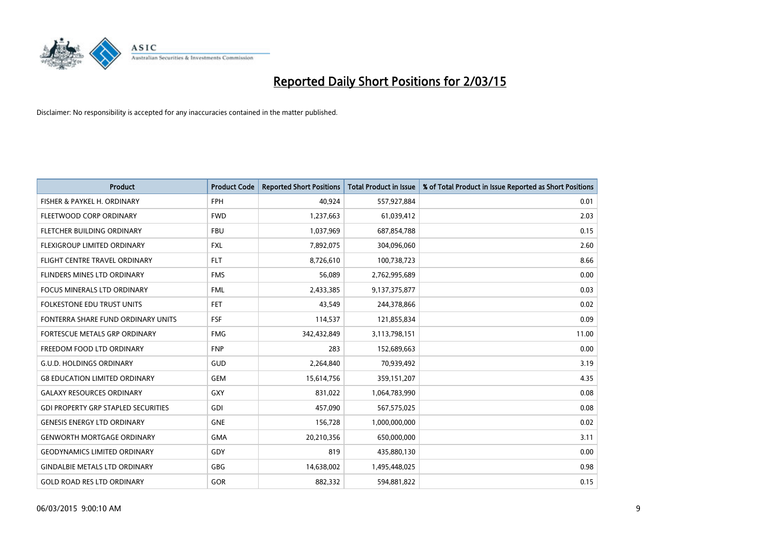

| <b>Product</b>                             | <b>Product Code</b> | <b>Reported Short Positions</b> | <b>Total Product in Issue</b> | % of Total Product in Issue Reported as Short Positions |
|--------------------------------------------|---------------------|---------------------------------|-------------------------------|---------------------------------------------------------|
| FISHER & PAYKEL H. ORDINARY                | <b>FPH</b>          | 40,924                          | 557,927,884                   | 0.01                                                    |
| FLEETWOOD CORP ORDINARY                    | <b>FWD</b>          | 1,237,663                       | 61,039,412                    | 2.03                                                    |
| FLETCHER BUILDING ORDINARY                 | <b>FBU</b>          | 1,037,969                       | 687,854,788                   | 0.15                                                    |
| FLEXIGROUP LIMITED ORDINARY                | FXL                 | 7,892,075                       | 304,096,060                   | 2.60                                                    |
| FLIGHT CENTRE TRAVEL ORDINARY              | <b>FLT</b>          | 8,726,610                       | 100,738,723                   | 8.66                                                    |
| FLINDERS MINES LTD ORDINARY                | <b>FMS</b>          | 56,089                          | 2,762,995,689                 | 0.00                                                    |
| <b>FOCUS MINERALS LTD ORDINARY</b>         | <b>FML</b>          | 2,433,385                       | 9,137,375,877                 | 0.03                                                    |
| FOLKESTONE EDU TRUST UNITS                 | <b>FET</b>          | 43,549                          | 244,378,866                   | 0.02                                                    |
| FONTERRA SHARE FUND ORDINARY UNITS         | <b>FSF</b>          | 114,537                         | 121,855,834                   | 0.09                                                    |
| FORTESCUE METALS GRP ORDINARY              | <b>FMG</b>          | 342,432,849                     | 3,113,798,151                 | 11.00                                                   |
| FREEDOM FOOD LTD ORDINARY                  | <b>FNP</b>          | 283                             | 152,689,663                   | 0.00                                                    |
| <b>G.U.D. HOLDINGS ORDINARY</b>            | GUD                 | 2,264,840                       | 70,939,492                    | 3.19                                                    |
| <b>G8 EDUCATION LIMITED ORDINARY</b>       | <b>GEM</b>          | 15,614,756                      | 359,151,207                   | 4.35                                                    |
| <b>GALAXY RESOURCES ORDINARY</b>           | GXY                 | 831,022                         | 1,064,783,990                 | 0.08                                                    |
| <b>GDI PROPERTY GRP STAPLED SECURITIES</b> | GDI                 | 457,090                         | 567,575,025                   | 0.08                                                    |
| <b>GENESIS ENERGY LTD ORDINARY</b>         | <b>GNE</b>          | 156,728                         | 1,000,000,000                 | 0.02                                                    |
| <b>GENWORTH MORTGAGE ORDINARY</b>          | <b>GMA</b>          | 20,210,356                      | 650,000,000                   | 3.11                                                    |
| <b>GEODYNAMICS LIMITED ORDINARY</b>        | GDY                 | 819                             | 435,880,130                   | 0.00                                                    |
| <b>GINDALBIE METALS LTD ORDINARY</b>       | GBG                 | 14,638,002                      | 1,495,448,025                 | 0.98                                                    |
| <b>GOLD ROAD RES LTD ORDINARY</b>          | <b>GOR</b>          | 882,332                         | 594,881,822                   | 0.15                                                    |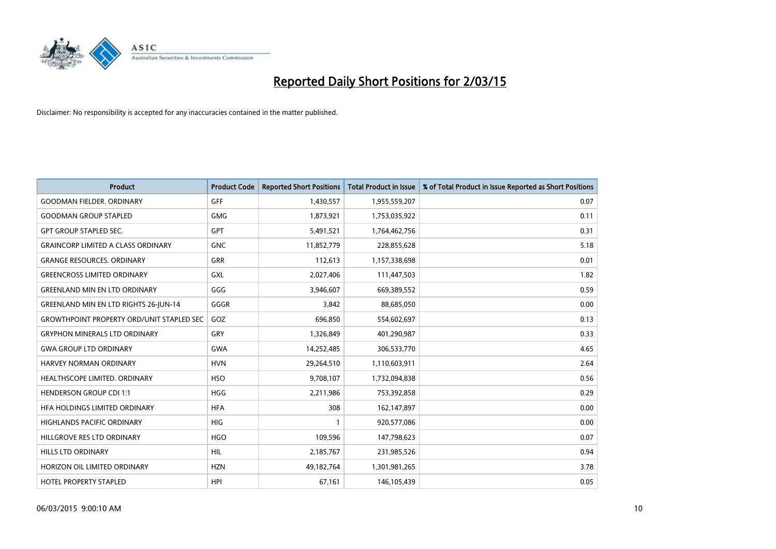

| <b>Product</b>                                   | <b>Product Code</b> | <b>Reported Short Positions</b> | <b>Total Product in Issue</b> | % of Total Product in Issue Reported as Short Positions |
|--------------------------------------------------|---------------------|---------------------------------|-------------------------------|---------------------------------------------------------|
| <b>GOODMAN FIELDER, ORDINARY</b>                 | <b>GFF</b>          | 1,430,557                       | 1,955,559,207                 | 0.07                                                    |
| <b>GOODMAN GROUP STAPLED</b>                     | <b>GMG</b>          | 1,873,921                       | 1,753,035,922                 | 0.11                                                    |
| <b>GPT GROUP STAPLED SEC.</b>                    | GPT                 | 5,491,521                       | 1,764,462,756                 | 0.31                                                    |
| <b>GRAINCORP LIMITED A CLASS ORDINARY</b>        | <b>GNC</b>          | 11,852,779                      | 228,855,628                   | 5.18                                                    |
| <b>GRANGE RESOURCES, ORDINARY</b>                | GRR                 | 112,613                         | 1,157,338,698                 | 0.01                                                    |
| <b>GREENCROSS LIMITED ORDINARY</b>               | <b>GXL</b>          | 2,027,406                       | 111,447,503                   | 1.82                                                    |
| <b>GREENLAND MIN EN LTD ORDINARY</b>             | GGG                 | 3,946,607                       | 669,389,552                   | 0.59                                                    |
| GREENLAND MIN EN LTD RIGHTS 26-JUN-14            | GGGR                | 3,842                           | 88,685,050                    | 0.00                                                    |
| <b>GROWTHPOINT PROPERTY ORD/UNIT STAPLED SEC</b> | GOZ                 | 696,850                         | 554,602,697                   | 0.13                                                    |
| <b>GRYPHON MINERALS LTD ORDINARY</b>             | GRY                 | 1,326,849                       | 401,290,987                   | 0.33                                                    |
| <b>GWA GROUP LTD ORDINARY</b>                    | <b>GWA</b>          | 14,252,485                      | 306,533,770                   | 4.65                                                    |
| HARVEY NORMAN ORDINARY                           | <b>HVN</b>          | 29,264,510                      | 1,110,603,911                 | 2.64                                                    |
| HEALTHSCOPE LIMITED. ORDINARY                    | <b>HSO</b>          | 9,708,107                       | 1,732,094,838                 | 0.56                                                    |
| <b>HENDERSON GROUP CDI 1:1</b>                   | <b>HGG</b>          | 2,211,986                       | 753,392,858                   | 0.29                                                    |
| HFA HOLDINGS LIMITED ORDINARY                    | <b>HFA</b>          | 308                             | 162,147,897                   | 0.00                                                    |
| <b>HIGHLANDS PACIFIC ORDINARY</b>                | <b>HIG</b>          |                                 | 920,577,086                   | 0.00                                                    |
| HILLGROVE RES LTD ORDINARY                       | <b>HGO</b>          | 109,596                         | 147,798,623                   | 0.07                                                    |
| <b>HILLS LTD ORDINARY</b>                        | <b>HIL</b>          | 2,185,767                       | 231,985,526                   | 0.94                                                    |
| HORIZON OIL LIMITED ORDINARY                     | <b>HZN</b>          | 49,182,764                      | 1,301,981,265                 | 3.78                                                    |
| HOTEL PROPERTY STAPLED                           | <b>HPI</b>          | 67,161                          | 146, 105, 439                 | 0.05                                                    |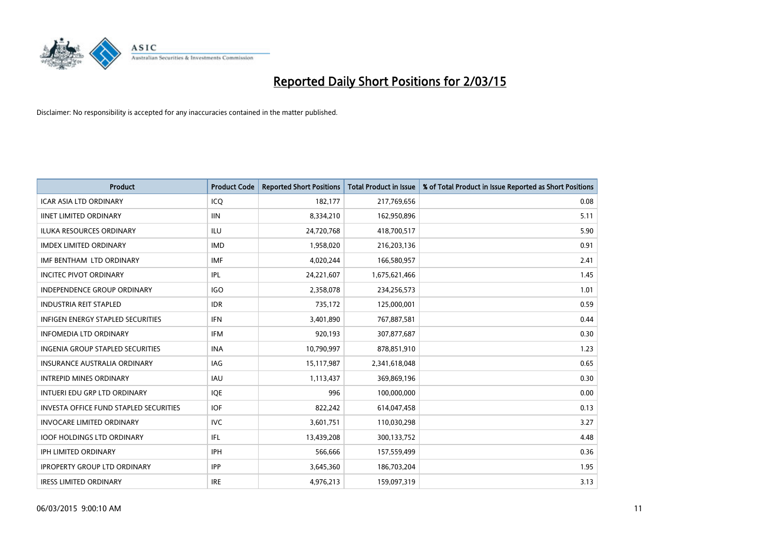

| <b>Product</b>                                | <b>Product Code</b> | <b>Reported Short Positions</b> | <b>Total Product in Issue</b> | % of Total Product in Issue Reported as Short Positions |
|-----------------------------------------------|---------------------|---------------------------------|-------------------------------|---------------------------------------------------------|
| <b>ICAR ASIA LTD ORDINARY</b>                 | ICQ                 | 182,177                         | 217,769,656                   | 0.08                                                    |
| <b>IINET LIMITED ORDINARY</b>                 | <b>IIN</b>          | 8,334,210                       | 162,950,896                   | 5.11                                                    |
| <b>ILUKA RESOURCES ORDINARY</b>               | ILU                 | 24,720,768                      | 418,700,517                   | 5.90                                                    |
| <b>IMDEX LIMITED ORDINARY</b>                 | <b>IMD</b>          | 1,958,020                       | 216,203,136                   | 0.91                                                    |
| IMF BENTHAM LTD ORDINARY                      | <b>IMF</b>          | 4,020,244                       | 166,580,957                   | 2.41                                                    |
| <b>INCITEC PIVOT ORDINARY</b>                 | <b>IPL</b>          | 24,221,607                      | 1,675,621,466                 | 1.45                                                    |
| <b>INDEPENDENCE GROUP ORDINARY</b>            | <b>IGO</b>          | 2,358,078                       | 234,256,573                   | 1.01                                                    |
| <b>INDUSTRIA REIT STAPLED</b>                 | <b>IDR</b>          | 735,172                         | 125,000,001                   | 0.59                                                    |
| <b>INFIGEN ENERGY STAPLED SECURITIES</b>      | <b>IFN</b>          | 3,401,890                       | 767,887,581                   | 0.44                                                    |
| <b>INFOMEDIA LTD ORDINARY</b>                 | <b>IFM</b>          | 920,193                         | 307,877,687                   | 0.30                                                    |
| INGENIA GROUP STAPLED SECURITIES              | <b>INA</b>          | 10,790,997                      | 878,851,910                   | 1.23                                                    |
| <b>INSURANCE AUSTRALIA ORDINARY</b>           | IAG                 | 15,117,987                      | 2,341,618,048                 | 0.65                                                    |
| <b>INTREPID MINES ORDINARY</b>                | <b>IAU</b>          | 1,113,437                       | 369,869,196                   | 0.30                                                    |
| INTUERI EDU GRP LTD ORDINARY                  | IQE                 | 996                             | 100,000,000                   | 0.00                                                    |
| <b>INVESTA OFFICE FUND STAPLED SECURITIES</b> | <b>IOF</b>          | 822,242                         | 614,047,458                   | 0.13                                                    |
| <b>INVOCARE LIMITED ORDINARY</b>              | <b>IVC</b>          | 3,601,751                       | 110,030,298                   | 3.27                                                    |
| <b>IOOF HOLDINGS LTD ORDINARY</b>             | IFL                 | 13,439,208                      | 300,133,752                   | 4.48                                                    |
| <b>IPH LIMITED ORDINARY</b>                   | <b>IPH</b>          | 566,666                         | 157,559,499                   | 0.36                                                    |
| <b>IPROPERTY GROUP LTD ORDINARY</b>           | <b>IPP</b>          | 3,645,360                       | 186,703,204                   | 1.95                                                    |
| <b>IRESS LIMITED ORDINARY</b>                 | <b>IRE</b>          | 4,976,213                       | 159,097,319                   | 3.13                                                    |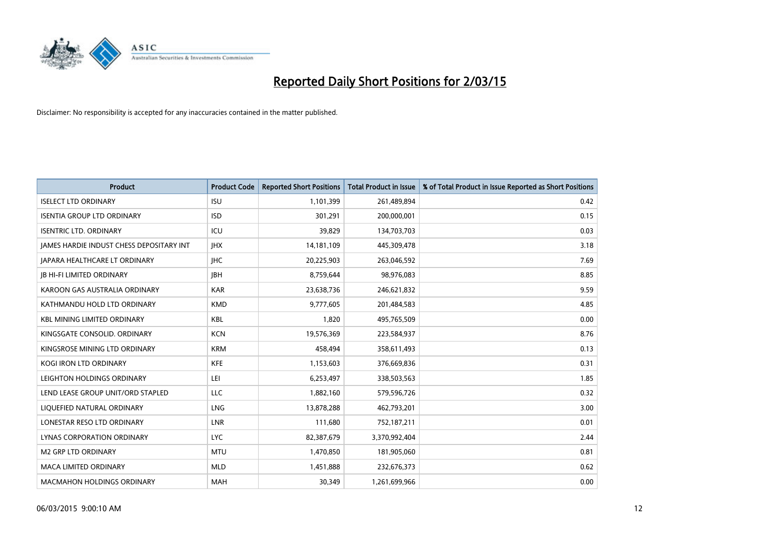

| <b>Product</b>                           | <b>Product Code</b> | <b>Reported Short Positions</b> | <b>Total Product in Issue</b> | % of Total Product in Issue Reported as Short Positions |
|------------------------------------------|---------------------|---------------------------------|-------------------------------|---------------------------------------------------------|
| <b>ISELECT LTD ORDINARY</b>              | <b>ISU</b>          | 1,101,399                       | 261,489,894                   | 0.42                                                    |
| <b>ISENTIA GROUP LTD ORDINARY</b>        | <b>ISD</b>          | 301,291                         | 200,000,001                   | 0.15                                                    |
| <b>ISENTRIC LTD. ORDINARY</b>            | ICU                 | 39,829                          | 134,703,703                   | 0.03                                                    |
| JAMES HARDIE INDUST CHESS DEPOSITARY INT | <b>IHX</b>          | 14,181,109                      | 445,309,478                   | 3.18                                                    |
| <b>JAPARA HEALTHCARE LT ORDINARY</b>     | <b>IHC</b>          | 20,225,903                      | 263,046,592                   | 7.69                                                    |
| <b>JB HI-FI LIMITED ORDINARY</b>         | <b>JBH</b>          | 8,759,644                       | 98,976,083                    | 8.85                                                    |
| KAROON GAS AUSTRALIA ORDINARY            | <b>KAR</b>          | 23,638,736                      | 246,621,832                   | 9.59                                                    |
| KATHMANDU HOLD LTD ORDINARY              | <b>KMD</b>          | 9,777,605                       | 201,484,583                   | 4.85                                                    |
| <b>KBL MINING LIMITED ORDINARY</b>       | <b>KBL</b>          | 1.820                           | 495,765,509                   | 0.00                                                    |
| KINGSGATE CONSOLID. ORDINARY             | <b>KCN</b>          | 19,576,369                      | 223,584,937                   | 8.76                                                    |
| KINGSROSE MINING LTD ORDINARY            | <b>KRM</b>          | 458,494                         | 358,611,493                   | 0.13                                                    |
| <b>KOGI IRON LTD ORDINARY</b>            | <b>KFE</b>          | 1,153,603                       | 376,669,836                   | 0.31                                                    |
| LEIGHTON HOLDINGS ORDINARY               | LEI                 | 6,253,497                       | 338,503,563                   | 1.85                                                    |
| LEND LEASE GROUP UNIT/ORD STAPLED        | LLC                 | 1,882,160                       | 579,596,726                   | 0.32                                                    |
| LIQUEFIED NATURAL ORDINARY               | <b>LNG</b>          | 13,878,288                      | 462,793,201                   | 3.00                                                    |
| LONESTAR RESO LTD ORDINARY               | LNR                 | 111,680                         | 752,187,211                   | 0.01                                                    |
| LYNAS CORPORATION ORDINARY               | <b>LYC</b>          | 82,387,679                      | 3,370,992,404                 | 2.44                                                    |
| <b>M2 GRP LTD ORDINARY</b>               | <b>MTU</b>          | 1,470,850                       | 181,905,060                   | 0.81                                                    |
| <b>MACA LIMITED ORDINARY</b>             | <b>MLD</b>          | 1,451,888                       | 232,676,373                   | 0.62                                                    |
| <b>MACMAHON HOLDINGS ORDINARY</b>        | <b>MAH</b>          | 30,349                          | 1,261,699,966                 | 0.00                                                    |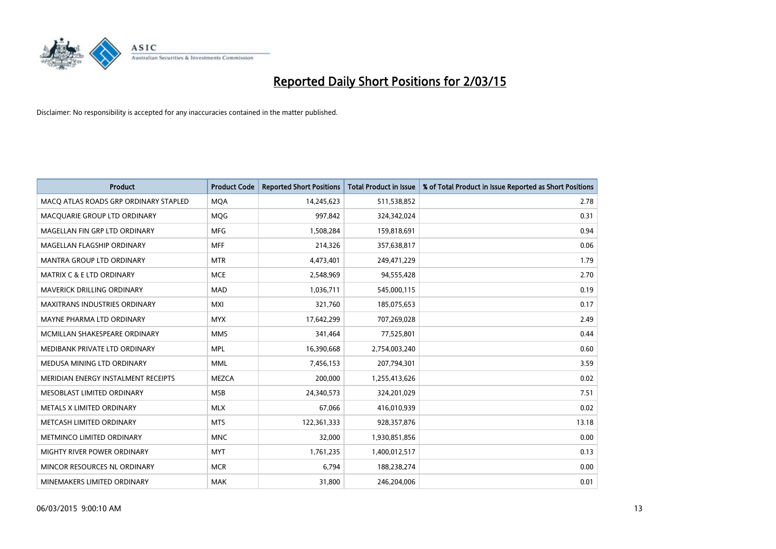

| <b>Product</b>                        | <b>Product Code</b> | <b>Reported Short Positions</b> | <b>Total Product in Issue</b> | % of Total Product in Issue Reported as Short Positions |
|---------------------------------------|---------------------|---------------------------------|-------------------------------|---------------------------------------------------------|
| MACO ATLAS ROADS GRP ORDINARY STAPLED | <b>MQA</b>          | 14,245,623                      | 511,538,852                   | 2.78                                                    |
| MACQUARIE GROUP LTD ORDINARY          | <b>MQG</b>          | 997,842                         | 324,342,024                   | 0.31                                                    |
| MAGELLAN FIN GRP LTD ORDINARY         | <b>MFG</b>          | 1,508,284                       | 159,818,691                   | 0.94                                                    |
| MAGELLAN FLAGSHIP ORDINARY            | <b>MFF</b>          | 214,326                         | 357,638,817                   | 0.06                                                    |
| <b>MANTRA GROUP LTD ORDINARY</b>      | <b>MTR</b>          | 4,473,401                       | 249,471,229                   | 1.79                                                    |
| <b>MATRIX C &amp; E LTD ORDINARY</b>  | <b>MCE</b>          | 2,548,969                       | 94,555,428                    | 2.70                                                    |
| MAVERICK DRILLING ORDINARY            | <b>MAD</b>          | 1,036,711                       | 545,000,115                   | 0.19                                                    |
| MAXITRANS INDUSTRIES ORDINARY         | <b>MXI</b>          | 321,760                         | 185,075,653                   | 0.17                                                    |
| MAYNE PHARMA LTD ORDINARY             | <b>MYX</b>          | 17,642,299                      | 707,269,028                   | 2.49                                                    |
| MCMILLAN SHAKESPEARE ORDINARY         | <b>MMS</b>          | 341,464                         | 77,525,801                    | 0.44                                                    |
| MEDIBANK PRIVATE LTD ORDINARY         | <b>MPL</b>          | 16,390,668                      | 2,754,003,240                 | 0.60                                                    |
| MEDUSA MINING LTD ORDINARY            | <b>MML</b>          | 7,456,153                       | 207,794,301                   | 3.59                                                    |
| MERIDIAN ENERGY INSTALMENT RECEIPTS   | <b>MEZCA</b>        | 200,000                         | 1,255,413,626                 | 0.02                                                    |
| MESOBLAST LIMITED ORDINARY            | <b>MSB</b>          | 24,340,573                      | 324,201,029                   | 7.51                                                    |
| METALS X LIMITED ORDINARY             | <b>MLX</b>          | 67,066                          | 416,010,939                   | 0.02                                                    |
| METCASH LIMITED ORDINARY              | <b>MTS</b>          | 122,361,333                     | 928,357,876                   | 13.18                                                   |
| METMINCO LIMITED ORDINARY             | <b>MNC</b>          | 32,000                          | 1,930,851,856                 | 0.00                                                    |
| MIGHTY RIVER POWER ORDINARY           | <b>MYT</b>          | 1,761,235                       | 1,400,012,517                 | 0.13                                                    |
| MINCOR RESOURCES NL ORDINARY          | <b>MCR</b>          | 6,794                           | 188,238,274                   | 0.00                                                    |
| MINEMAKERS LIMITED ORDINARY           | <b>MAK</b>          | 31,800                          | 246,204,006                   | 0.01                                                    |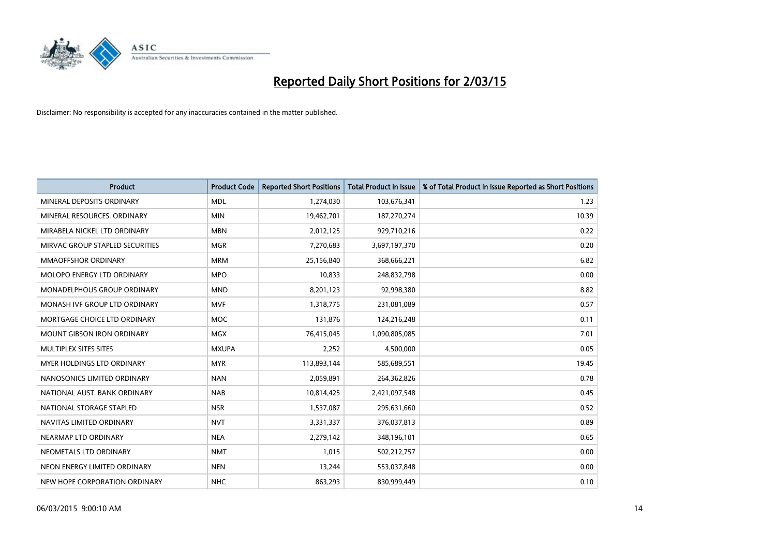

| <b>Product</b>                     | <b>Product Code</b> | <b>Reported Short Positions</b> | <b>Total Product in Issue</b> | % of Total Product in Issue Reported as Short Positions |
|------------------------------------|---------------------|---------------------------------|-------------------------------|---------------------------------------------------------|
| MINERAL DEPOSITS ORDINARY          | <b>MDL</b>          | 1,274,030                       | 103,676,341                   | 1.23                                                    |
| MINERAL RESOURCES, ORDINARY        | <b>MIN</b>          | 19,462,701                      | 187,270,274                   | 10.39                                                   |
| MIRABELA NICKEL LTD ORDINARY       | <b>MBN</b>          | 2,012,125                       | 929,710,216                   | 0.22                                                    |
| MIRVAC GROUP STAPLED SECURITIES    | <b>MGR</b>          | 7,270,683                       | 3,697,197,370                 | 0.20                                                    |
| <b>MMAOFFSHOR ORDINARY</b>         | <b>MRM</b>          | 25,156,840                      | 368,666,221                   | 6.82                                                    |
| MOLOPO ENERGY LTD ORDINARY         | <b>MPO</b>          | 10,833                          | 248,832,798                   | 0.00                                                    |
| <b>MONADELPHOUS GROUP ORDINARY</b> | <b>MND</b>          | 8,201,123                       | 92,998,380                    | 8.82                                                    |
| MONASH IVF GROUP LTD ORDINARY      | <b>MVF</b>          | 1,318,775                       | 231,081,089                   | 0.57                                                    |
| MORTGAGE CHOICE LTD ORDINARY       | <b>MOC</b>          | 131,876                         | 124,216,248                   | 0.11                                                    |
| <b>MOUNT GIBSON IRON ORDINARY</b>  | <b>MGX</b>          | 76,415,045                      | 1,090,805,085                 | 7.01                                                    |
| MULTIPLEX SITES SITES              | <b>MXUPA</b>        | 2,252                           | 4,500,000                     | 0.05                                                    |
| MYER HOLDINGS LTD ORDINARY         | <b>MYR</b>          | 113,893,144                     | 585,689,551                   | 19.45                                                   |
| NANOSONICS LIMITED ORDINARY        | <b>NAN</b>          | 2,059,891                       | 264,362,826                   | 0.78                                                    |
| NATIONAL AUST. BANK ORDINARY       | <b>NAB</b>          | 10,814,425                      | 2,421,097,548                 | 0.45                                                    |
| NATIONAL STORAGE STAPLED           | <b>NSR</b>          | 1,537,087                       | 295,631,660                   | 0.52                                                    |
| NAVITAS LIMITED ORDINARY           | <b>NVT</b>          | 3,331,337                       | 376,037,813                   | 0.89                                                    |
| NEARMAP LTD ORDINARY               | <b>NEA</b>          | 2,279,142                       | 348,196,101                   | 0.65                                                    |
| NEOMETALS LTD ORDINARY             | <b>NMT</b>          | 1,015                           | 502,212,757                   | 0.00                                                    |
| NEON ENERGY LIMITED ORDINARY       | <b>NEN</b>          | 13,244                          | 553,037,848                   | 0.00                                                    |
| NEW HOPE CORPORATION ORDINARY      | <b>NHC</b>          | 863,293                         | 830,999,449                   | 0.10                                                    |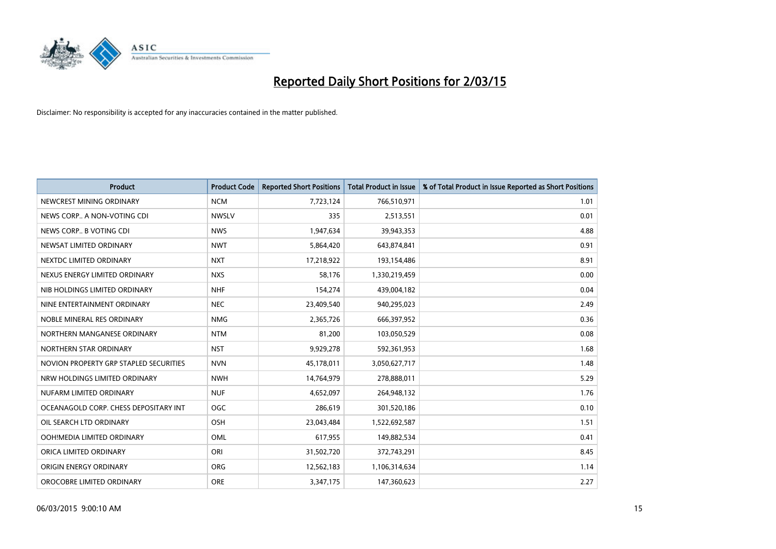

| <b>Product</b>                         | <b>Product Code</b> | <b>Reported Short Positions</b> | <b>Total Product in Issue</b> | % of Total Product in Issue Reported as Short Positions |
|----------------------------------------|---------------------|---------------------------------|-------------------------------|---------------------------------------------------------|
| NEWCREST MINING ORDINARY               | <b>NCM</b>          | 7,723,124                       | 766,510,971                   | 1.01                                                    |
| NEWS CORP A NON-VOTING CDI             | <b>NWSLV</b>        | 335                             | 2,513,551                     | 0.01                                                    |
| NEWS CORP B VOTING CDI                 | <b>NWS</b>          | 1,947,634                       | 39,943,353                    | 4.88                                                    |
| NEWSAT LIMITED ORDINARY                | <b>NWT</b>          | 5,864,420                       | 643,874,841                   | 0.91                                                    |
| NEXTDC LIMITED ORDINARY                | <b>NXT</b>          | 17,218,922                      | 193,154,486                   | 8.91                                                    |
| NEXUS ENERGY LIMITED ORDINARY          | <b>NXS</b>          | 58,176                          | 1,330,219,459                 | 0.00                                                    |
| NIB HOLDINGS LIMITED ORDINARY          | <b>NHF</b>          | 154,274                         | 439,004,182                   | 0.04                                                    |
| NINE ENTERTAINMENT ORDINARY            | <b>NEC</b>          | 23,409,540                      | 940,295,023                   | 2.49                                                    |
| NOBLE MINERAL RES ORDINARY             | <b>NMG</b>          | 2,365,726                       | 666,397,952                   | 0.36                                                    |
| NORTHERN MANGANESE ORDINARY            | <b>NTM</b>          | 81,200                          | 103,050,529                   | 0.08                                                    |
| NORTHERN STAR ORDINARY                 | <b>NST</b>          | 9,929,278                       | 592,361,953                   | 1.68                                                    |
| NOVION PROPERTY GRP STAPLED SECURITIES | <b>NVN</b>          | 45,178,011                      | 3,050,627,717                 | 1.48                                                    |
| NRW HOLDINGS LIMITED ORDINARY          | <b>NWH</b>          | 14,764,979                      | 278,888,011                   | 5.29                                                    |
| NUFARM LIMITED ORDINARY                | <b>NUF</b>          | 4,652,097                       | 264,948,132                   | 1.76                                                    |
| OCEANAGOLD CORP. CHESS DEPOSITARY INT  | <b>OGC</b>          | 286,619                         | 301,520,186                   | 0.10                                                    |
| OIL SEARCH LTD ORDINARY                | OSH                 | 23,043,484                      | 1,522,692,587                 | 1.51                                                    |
| OOH!MEDIA LIMITED ORDINARY             | OML                 | 617,955                         | 149,882,534                   | 0.41                                                    |
| ORICA LIMITED ORDINARY                 | ORI                 | 31,502,720                      | 372,743,291                   | 8.45                                                    |
| ORIGIN ENERGY ORDINARY                 | <b>ORG</b>          | 12,562,183                      | 1,106,314,634                 | 1.14                                                    |
| OROCOBRE LIMITED ORDINARY              | <b>ORE</b>          | 3,347,175                       | 147,360,623                   | 2.27                                                    |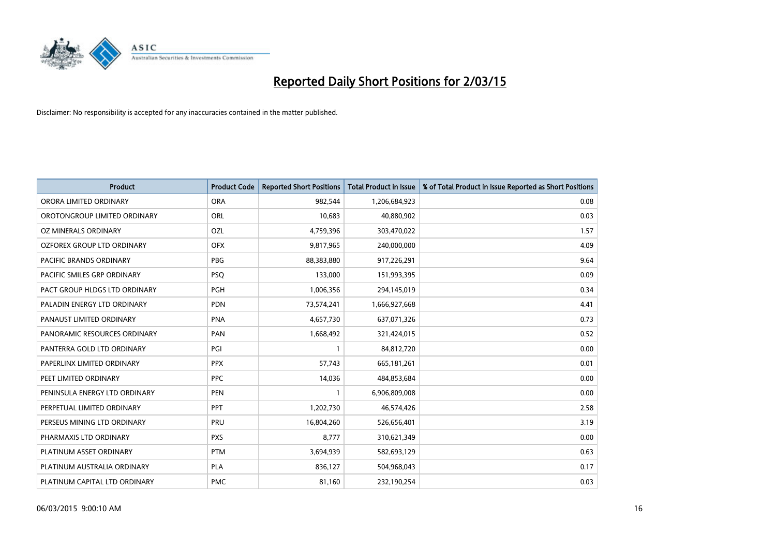

| <b>Product</b>                 | <b>Product Code</b> | <b>Reported Short Positions</b> | <b>Total Product in Issue</b> | % of Total Product in Issue Reported as Short Positions |
|--------------------------------|---------------------|---------------------------------|-------------------------------|---------------------------------------------------------|
| ORORA LIMITED ORDINARY         | <b>ORA</b>          | 982,544                         | 1,206,684,923                 | 0.08                                                    |
| OROTONGROUP LIMITED ORDINARY   | ORL                 | 10,683                          | 40,880,902                    | 0.03                                                    |
| OZ MINERALS ORDINARY           | <b>OZL</b>          | 4,759,396                       | 303,470,022                   | 1.57                                                    |
| OZFOREX GROUP LTD ORDINARY     | <b>OFX</b>          | 9,817,965                       | 240,000,000                   | 4.09                                                    |
| <b>PACIFIC BRANDS ORDINARY</b> | <b>PBG</b>          | 88,383,880                      | 917,226,291                   | 9.64                                                    |
| PACIFIC SMILES GRP ORDINARY    | <b>PSQ</b>          | 133,000                         | 151,993,395                   | 0.09                                                    |
| PACT GROUP HLDGS LTD ORDINARY  | <b>PGH</b>          | 1,006,356                       | 294,145,019                   | 0.34                                                    |
| PALADIN ENERGY LTD ORDINARY    | <b>PDN</b>          | 73,574,241                      | 1,666,927,668                 | 4.41                                                    |
| PANAUST LIMITED ORDINARY       | <b>PNA</b>          | 4,657,730                       | 637,071,326                   | 0.73                                                    |
| PANORAMIC RESOURCES ORDINARY   | PAN                 | 1,668,492                       | 321,424,015                   | 0.52                                                    |
| PANTERRA GOLD LTD ORDINARY     | PGI                 |                                 | 84,812,720                    | 0.00                                                    |
| PAPERLINX LIMITED ORDINARY     | <b>PPX</b>          | 57,743                          | 665, 181, 261                 | 0.01                                                    |
| PEET LIMITED ORDINARY          | <b>PPC</b>          | 14,036                          | 484,853,684                   | 0.00                                                    |
| PENINSULA ENERGY LTD ORDINARY  | PEN                 | $\mathbf{1}$                    | 6,906,809,008                 | 0.00                                                    |
| PERPETUAL LIMITED ORDINARY     | <b>PPT</b>          | 1,202,730                       | 46,574,426                    | 2.58                                                    |
| PERSEUS MINING LTD ORDINARY    | PRU                 | 16,804,260                      | 526,656,401                   | 3.19                                                    |
| PHARMAXIS LTD ORDINARY         | <b>PXS</b>          | 8,777                           | 310,621,349                   | 0.00                                                    |
| PLATINUM ASSET ORDINARY        | <b>PTM</b>          | 3,694,939                       | 582,693,129                   | 0.63                                                    |
| PLATINUM AUSTRALIA ORDINARY    | <b>PLA</b>          | 836,127                         | 504,968,043                   | 0.17                                                    |
| PLATINUM CAPITAL LTD ORDINARY  | <b>PMC</b>          | 81,160                          | 232,190,254                   | 0.03                                                    |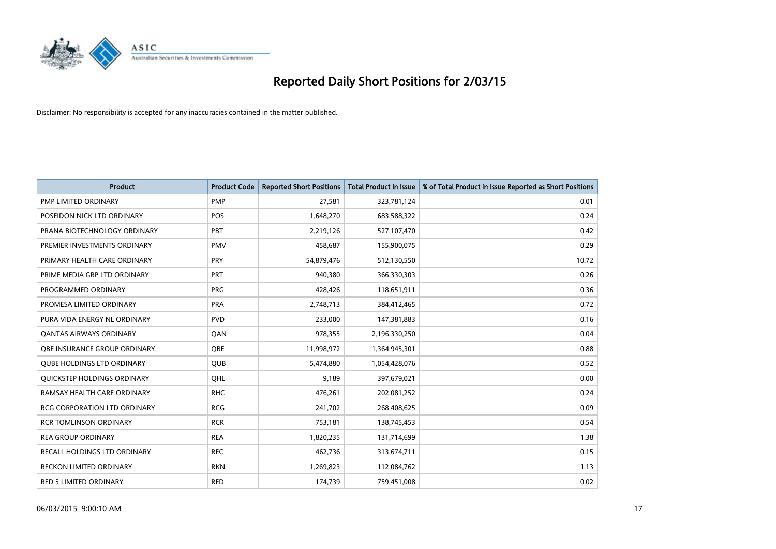

| <b>Product</b>                      | <b>Product Code</b> | <b>Reported Short Positions</b> | <b>Total Product in Issue</b> | % of Total Product in Issue Reported as Short Positions |
|-------------------------------------|---------------------|---------------------------------|-------------------------------|---------------------------------------------------------|
| <b>PMP LIMITED ORDINARY</b>         | <b>PMP</b>          | 27,581                          | 323,781,124                   | 0.01                                                    |
| POSEIDON NICK LTD ORDINARY          | <b>POS</b>          | 1,648,270                       | 683,588,322                   | 0.24                                                    |
| PRANA BIOTECHNOLOGY ORDINARY        | PBT                 | 2,219,126                       | 527,107,470                   | 0.42                                                    |
| PREMIER INVESTMENTS ORDINARY        | <b>PMV</b>          | 458,687                         | 155,900,075                   | 0.29                                                    |
| PRIMARY HEALTH CARE ORDINARY        | <b>PRY</b>          | 54,879,476                      | 512,130,550                   | 10.72                                                   |
| PRIME MEDIA GRP LTD ORDINARY        | PRT                 | 940,380                         | 366,330,303                   | 0.26                                                    |
| PROGRAMMED ORDINARY                 | <b>PRG</b>          | 428,426                         | 118,651,911                   | 0.36                                                    |
| PROMESA LIMITED ORDINARY            | <b>PRA</b>          | 2,748,713                       | 384,412,465                   | 0.72                                                    |
| PURA VIDA ENERGY NL ORDINARY        | <b>PVD</b>          | 233,000                         | 147,381,883                   | 0.16                                                    |
| <b>QANTAS AIRWAYS ORDINARY</b>      | QAN                 | 978,355                         | 2,196,330,250                 | 0.04                                                    |
| OBE INSURANCE GROUP ORDINARY        | <b>OBE</b>          | 11,998,972                      | 1,364,945,301                 | 0.88                                                    |
| <b>QUBE HOLDINGS LTD ORDINARY</b>   | QUB                 | 5,474,880                       | 1,054,428,076                 | 0.52                                                    |
| QUICKSTEP HOLDINGS ORDINARY         | OHL                 | 9,189                           | 397,679,021                   | 0.00                                                    |
| RAMSAY HEALTH CARE ORDINARY         | <b>RHC</b>          | 476,261                         | 202,081,252                   | 0.24                                                    |
| <b>RCG CORPORATION LTD ORDINARY</b> | <b>RCG</b>          | 241,702                         | 268,408,625                   | 0.09                                                    |
| <b>RCR TOMLINSON ORDINARY</b>       | <b>RCR</b>          | 753,181                         | 138,745,453                   | 0.54                                                    |
| <b>REA GROUP ORDINARY</b>           | <b>REA</b>          | 1,820,235                       | 131,714,699                   | 1.38                                                    |
| RECALL HOLDINGS LTD ORDINARY        | <b>REC</b>          | 462,736                         | 313,674,711                   | 0.15                                                    |
| <b>RECKON LIMITED ORDINARY</b>      | <b>RKN</b>          | 1,269,823                       | 112,084,762                   | 1.13                                                    |
| RED 5 LIMITED ORDINARY              | <b>RED</b>          | 174,739                         | 759,451,008                   | 0.02                                                    |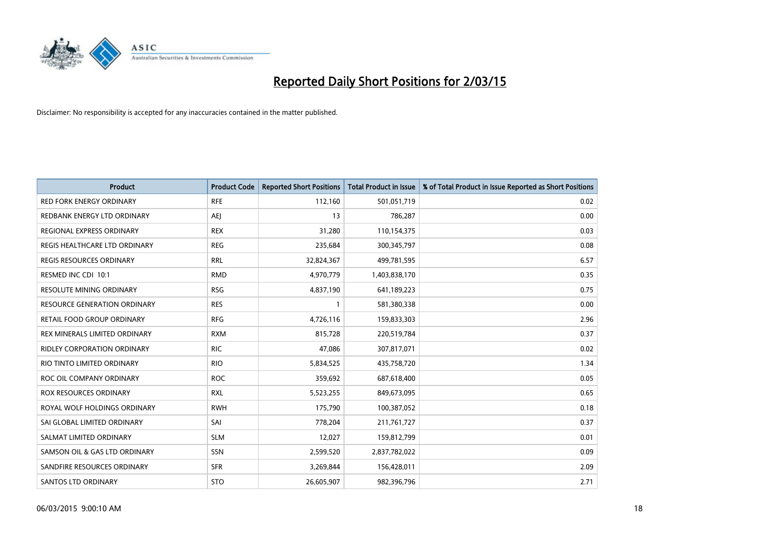

| <b>Product</b>                  | <b>Product Code</b> | <b>Reported Short Positions</b> | <b>Total Product in Issue</b> | % of Total Product in Issue Reported as Short Positions |
|---------------------------------|---------------------|---------------------------------|-------------------------------|---------------------------------------------------------|
| <b>RED FORK ENERGY ORDINARY</b> | <b>RFE</b>          | 112,160                         | 501,051,719                   | 0.02                                                    |
| REDBANK ENERGY LTD ORDINARY     | AEJ                 | 13                              | 786,287                       | 0.00                                                    |
| REGIONAL EXPRESS ORDINARY       | <b>REX</b>          | 31,280                          | 110,154,375                   | 0.03                                                    |
| REGIS HEALTHCARE LTD ORDINARY   | <b>REG</b>          | 235,684                         | 300,345,797                   | 0.08                                                    |
| <b>REGIS RESOURCES ORDINARY</b> | <b>RRL</b>          | 32,824,367                      | 499,781,595                   | 6.57                                                    |
| RESMED INC CDI 10:1             | <b>RMD</b>          | 4,970,779                       | 1,403,838,170                 | 0.35                                                    |
| RESOLUTE MINING ORDINARY        | <b>RSG</b>          | 4,837,190                       | 641,189,223                   | 0.75                                                    |
| RESOURCE GENERATION ORDINARY    | <b>RES</b>          | $\mathbf{1}$                    | 581,380,338                   | 0.00                                                    |
| RETAIL FOOD GROUP ORDINARY      | <b>RFG</b>          | 4,726,116                       | 159,833,303                   | 2.96                                                    |
| REX MINERALS LIMITED ORDINARY   | <b>RXM</b>          | 815,728                         | 220,519,784                   | 0.37                                                    |
| RIDLEY CORPORATION ORDINARY     | RIC.                | 47,086                          | 307,817,071                   | 0.02                                                    |
| RIO TINTO LIMITED ORDINARY      | <b>RIO</b>          | 5,834,525                       | 435,758,720                   | 1.34                                                    |
| ROC OIL COMPANY ORDINARY        | <b>ROC</b>          | 359,692                         | 687,618,400                   | 0.05                                                    |
| <b>ROX RESOURCES ORDINARY</b>   | <b>RXL</b>          | 5,523,255                       | 849,673,095                   | 0.65                                                    |
| ROYAL WOLF HOLDINGS ORDINARY    | <b>RWH</b>          | 175,790                         | 100,387,052                   | 0.18                                                    |
| SAI GLOBAL LIMITED ORDINARY     | SAI                 | 778,204                         | 211,761,727                   | 0.37                                                    |
| SALMAT LIMITED ORDINARY         | <b>SLM</b>          | 12,027                          | 159,812,799                   | 0.01                                                    |
| SAMSON OIL & GAS LTD ORDINARY   | SSN                 | 2,599,520                       | 2,837,782,022                 | 0.09                                                    |
| SANDFIRE RESOURCES ORDINARY     | <b>SFR</b>          | 3,269,844                       | 156,428,011                   | 2.09                                                    |
| <b>SANTOS LTD ORDINARY</b>      | <b>STO</b>          | 26,605,907                      | 982,396,796                   | 2.71                                                    |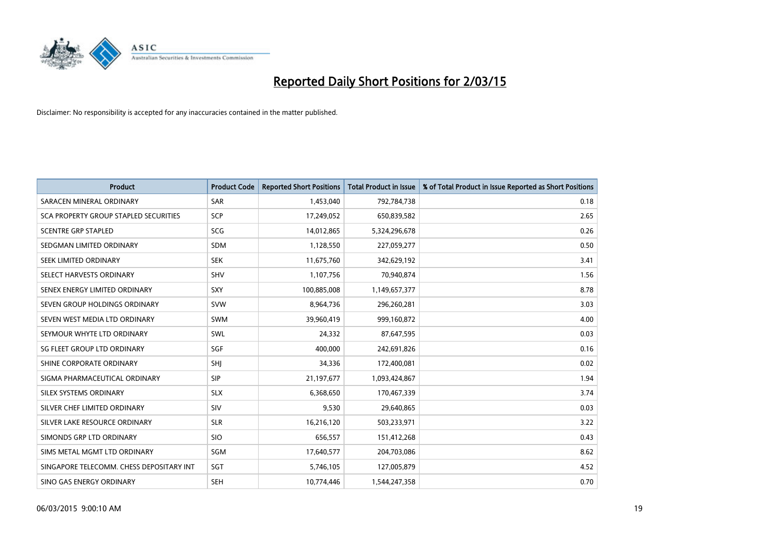

| <b>Product</b>                           | <b>Product Code</b> | <b>Reported Short Positions</b> | <b>Total Product in Issue</b> | % of Total Product in Issue Reported as Short Positions |
|------------------------------------------|---------------------|---------------------------------|-------------------------------|---------------------------------------------------------|
| SARACEN MINERAL ORDINARY                 | <b>SAR</b>          | 1,453,040                       | 792,784,738                   | 0.18                                                    |
| SCA PROPERTY GROUP STAPLED SECURITIES    | <b>SCP</b>          | 17,249,052                      | 650,839,582                   | 2.65                                                    |
| <b>SCENTRE GRP STAPLED</b>               | <b>SCG</b>          | 14,012,865                      | 5,324,296,678                 | 0.26                                                    |
| SEDGMAN LIMITED ORDINARY                 | <b>SDM</b>          | 1,128,550                       | 227,059,277                   | 0.50                                                    |
| SEEK LIMITED ORDINARY                    | <b>SEK</b>          | 11,675,760                      | 342,629,192                   | 3.41                                                    |
| SELECT HARVESTS ORDINARY                 | SHV                 | 1,107,756                       | 70,940,874                    | 1.56                                                    |
| SENEX ENERGY LIMITED ORDINARY            | <b>SXY</b>          | 100,885,008                     | 1,149,657,377                 | 8.78                                                    |
| SEVEN GROUP HOLDINGS ORDINARY            | <b>SVW</b>          | 8,964,736                       | 296,260,281                   | 3.03                                                    |
| SEVEN WEST MEDIA LTD ORDINARY            | <b>SWM</b>          | 39,960,419                      | 999,160,872                   | 4.00                                                    |
| SEYMOUR WHYTE LTD ORDINARY               | <b>SWL</b>          | 24,332                          | 87,647,595                    | 0.03                                                    |
| SG FLEET GROUP LTD ORDINARY              | SGF                 | 400,000                         | 242,691,826                   | 0.16                                                    |
| SHINE CORPORATE ORDINARY                 | SHJ                 | 34,336                          | 172,400,081                   | 0.02                                                    |
| SIGMA PHARMACEUTICAL ORDINARY            | <b>SIP</b>          | 21,197,677                      | 1,093,424,867                 | 1.94                                                    |
| SILEX SYSTEMS ORDINARY                   | <b>SLX</b>          | 6,368,650                       | 170,467,339                   | 3.74                                                    |
| SILVER CHEF LIMITED ORDINARY             | <b>SIV</b>          | 9,530                           | 29,640,865                    | 0.03                                                    |
| SILVER LAKE RESOURCE ORDINARY            | <b>SLR</b>          | 16,216,120                      | 503,233,971                   | 3.22                                                    |
| SIMONDS GRP LTD ORDINARY                 | <b>SIO</b>          | 656,557                         | 151,412,268                   | 0.43                                                    |
| SIMS METAL MGMT LTD ORDINARY             | SGM                 | 17,640,577                      | 204,703,086                   | 8.62                                                    |
| SINGAPORE TELECOMM. CHESS DEPOSITARY INT | SGT                 | 5,746,105                       | 127,005,879                   | 4.52                                                    |
| SINO GAS ENERGY ORDINARY                 | <b>SEH</b>          | 10,774,446                      | 1,544,247,358                 | 0.70                                                    |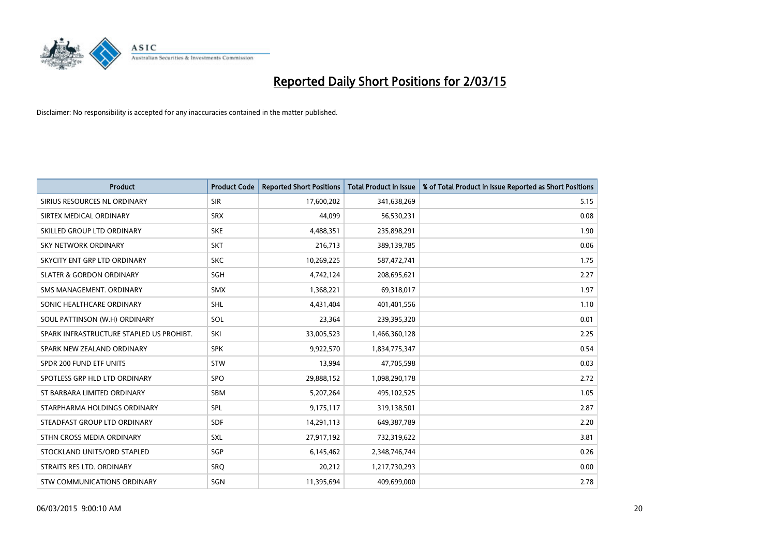

| <b>Product</b>                           | <b>Product Code</b> | <b>Reported Short Positions</b> | <b>Total Product in Issue</b> | % of Total Product in Issue Reported as Short Positions |
|------------------------------------------|---------------------|---------------------------------|-------------------------------|---------------------------------------------------------|
| SIRIUS RESOURCES NL ORDINARY             | <b>SIR</b>          | 17,600,202                      | 341,638,269                   | 5.15                                                    |
| SIRTEX MEDICAL ORDINARY                  | <b>SRX</b>          | 44.099                          | 56,530,231                    | 0.08                                                    |
| SKILLED GROUP LTD ORDINARY               | <b>SKE</b>          | 4,488,351                       | 235,898,291                   | 1.90                                                    |
| SKY NETWORK ORDINARY                     | <b>SKT</b>          | 216,713                         | 389,139,785                   | 0.06                                                    |
| SKYCITY ENT GRP LTD ORDINARY             | <b>SKC</b>          | 10,269,225                      | 587,472,741                   | 1.75                                                    |
| <b>SLATER &amp; GORDON ORDINARY</b>      | SGH                 | 4,742,124                       | 208,695,621                   | 2.27                                                    |
| SMS MANAGEMENT, ORDINARY                 | <b>SMX</b>          | 1,368,221                       | 69,318,017                    | 1.97                                                    |
| SONIC HEALTHCARE ORDINARY                | <b>SHL</b>          | 4,431,404                       | 401,401,556                   | 1.10                                                    |
| SOUL PATTINSON (W.H) ORDINARY            | SOL                 | 23,364                          | 239,395,320                   | 0.01                                                    |
| SPARK INFRASTRUCTURE STAPLED US PROHIBT. | SKI                 | 33,005,523                      | 1,466,360,128                 | 2.25                                                    |
| SPARK NEW ZEALAND ORDINARY               | <b>SPK</b>          | 9,922,570                       | 1,834,775,347                 | 0.54                                                    |
| SPDR 200 FUND ETF UNITS                  | <b>STW</b>          | 13,994                          | 47,705,598                    | 0.03                                                    |
| SPOTLESS GRP HLD LTD ORDINARY            | <b>SPO</b>          | 29,888,152                      | 1,098,290,178                 | 2.72                                                    |
| ST BARBARA LIMITED ORDINARY              | SBM                 | 5,207,264                       | 495,102,525                   | 1.05                                                    |
| STARPHARMA HOLDINGS ORDINARY             | SPL                 | 9,175,117                       | 319,138,501                   | 2.87                                                    |
| STEADFAST GROUP LTD ORDINARY             | SDF                 | 14,291,113                      | 649,387,789                   | 2.20                                                    |
| STHN CROSS MEDIA ORDINARY                | <b>SXL</b>          | 27,917,192                      | 732,319,622                   | 3.81                                                    |
| STOCKLAND UNITS/ORD STAPLED              | SGP                 | 6,145,462                       | 2,348,746,744                 | 0.26                                                    |
| STRAITS RES LTD. ORDINARY                | SRO                 | 20,212                          | 1,217,730,293                 | 0.00                                                    |
| STW COMMUNICATIONS ORDINARY              | SGN                 | 11,395,694                      | 409,699,000                   | 2.78                                                    |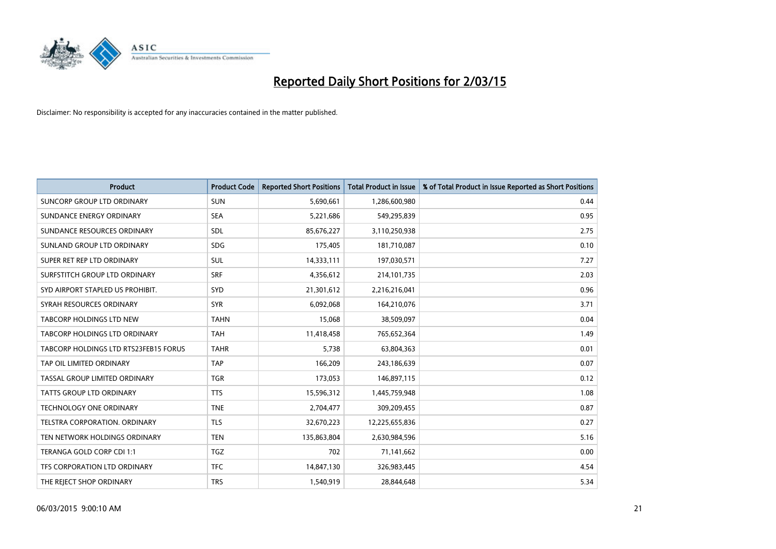

| <b>Product</b>                        | <b>Product Code</b> | <b>Reported Short Positions</b> | <b>Total Product in Issue</b> | % of Total Product in Issue Reported as Short Positions |
|---------------------------------------|---------------------|---------------------------------|-------------------------------|---------------------------------------------------------|
| <b>SUNCORP GROUP LTD ORDINARY</b>     | <b>SUN</b>          | 5,690,661                       | 1,286,600,980                 | 0.44                                                    |
| SUNDANCE ENERGY ORDINARY              | <b>SEA</b>          | 5,221,686                       | 549,295,839                   | 0.95                                                    |
| SUNDANCE RESOURCES ORDINARY           | <b>SDL</b>          | 85,676,227                      | 3,110,250,938                 | 2.75                                                    |
| SUNLAND GROUP LTD ORDINARY            | <b>SDG</b>          | 175,405                         | 181,710,087                   | 0.10                                                    |
| SUPER RET REP LTD ORDINARY            | SUL                 | 14,333,111                      | 197,030,571                   | 7.27                                                    |
| SURFSTITCH GROUP LTD ORDINARY         | <b>SRF</b>          | 4,356,612                       | 214,101,735                   | 2.03                                                    |
| SYD AIRPORT STAPLED US PROHIBIT.      | SYD                 | 21,301,612                      | 2,216,216,041                 | 0.96                                                    |
| SYRAH RESOURCES ORDINARY              | <b>SYR</b>          | 6,092,068                       | 164,210,076                   | 3.71                                                    |
| <b>TABCORP HOLDINGS LTD NEW</b>       | <b>TAHN</b>         | 15,068                          | 38,509,097                    | 0.04                                                    |
| TABCORP HOLDINGS LTD ORDINARY         | <b>TAH</b>          | 11,418,458                      | 765,652,364                   | 1.49                                                    |
| TABCORP HOLDINGS LTD RTS23FEB15 FORUS | <b>TAHR</b>         | 5,738                           | 63,804,363                    | 0.01                                                    |
| TAP OIL LIMITED ORDINARY              | <b>TAP</b>          | 166,209                         | 243,186,639                   | 0.07                                                    |
| TASSAL GROUP LIMITED ORDINARY         | <b>TGR</b>          | 173,053                         | 146,897,115                   | 0.12                                                    |
| <b>TATTS GROUP LTD ORDINARY</b>       | <b>TTS</b>          | 15,596,312                      | 1,445,759,948                 | 1.08                                                    |
| <b>TECHNOLOGY ONE ORDINARY</b>        | <b>TNE</b>          | 2,704,477                       | 309,209,455                   | 0.87                                                    |
| TELSTRA CORPORATION. ORDINARY         | <b>TLS</b>          | 32,670,223                      | 12,225,655,836                | 0.27                                                    |
| TEN NETWORK HOLDINGS ORDINARY         | <b>TEN</b>          | 135,863,804                     | 2,630,984,596                 | 5.16                                                    |
| TERANGA GOLD CORP CDI 1:1             | <b>TGZ</b>          | 702                             | 71,141,662                    | 0.00                                                    |
| TFS CORPORATION LTD ORDINARY          | <b>TFC</b>          | 14,847,130                      | 326,983,445                   | 4.54                                                    |
| THE REJECT SHOP ORDINARY              | <b>TRS</b>          | 1,540,919                       | 28,844,648                    | 5.34                                                    |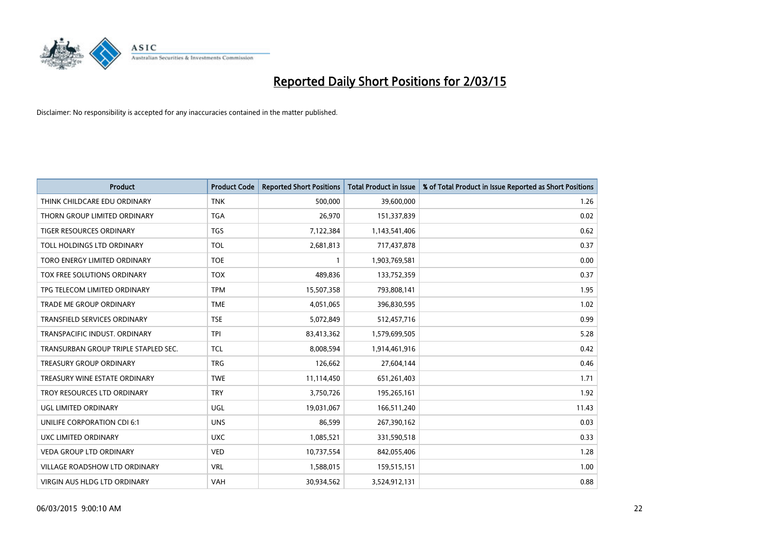

| <b>Product</b>                       | <b>Product Code</b> | <b>Reported Short Positions</b> | <b>Total Product in Issue</b> | % of Total Product in Issue Reported as Short Positions |
|--------------------------------------|---------------------|---------------------------------|-------------------------------|---------------------------------------------------------|
| THINK CHILDCARE EDU ORDINARY         | <b>TNK</b>          | 500,000                         | 39,600,000                    | 1.26                                                    |
| THORN GROUP LIMITED ORDINARY         | TGA                 | 26,970                          | 151,337,839                   | 0.02                                                    |
| <b>TIGER RESOURCES ORDINARY</b>      | <b>TGS</b>          | 7,122,384                       | 1,143,541,406                 | 0.62                                                    |
| TOLL HOLDINGS LTD ORDINARY           | <b>TOL</b>          | 2,681,813                       | 717,437,878                   | 0.37                                                    |
| TORO ENERGY LIMITED ORDINARY         | <b>TOE</b>          | 1                               | 1,903,769,581                 | 0.00                                                    |
| TOX FREE SOLUTIONS ORDINARY          | <b>TOX</b>          | 489,836                         | 133,752,359                   | 0.37                                                    |
| TPG TELECOM LIMITED ORDINARY         | <b>TPM</b>          | 15,507,358                      | 793,808,141                   | 1.95                                                    |
| <b>TRADE ME GROUP ORDINARY</b>       | <b>TME</b>          | 4,051,065                       | 396,830,595                   | 1.02                                                    |
| <b>TRANSFIELD SERVICES ORDINARY</b>  | <b>TSE</b>          | 5,072,849                       | 512,457,716                   | 0.99                                                    |
| TRANSPACIFIC INDUST, ORDINARY        | <b>TPI</b>          | 83,413,362                      | 1,579,699,505                 | 5.28                                                    |
| TRANSURBAN GROUP TRIPLE STAPLED SEC. | <b>TCL</b>          | 8,008,594                       | 1,914,461,916                 | 0.42                                                    |
| <b>TREASURY GROUP ORDINARY</b>       | <b>TRG</b>          | 126,662                         | 27,604,144                    | 0.46                                                    |
| TREASURY WINE ESTATE ORDINARY        | <b>TWE</b>          | 11,114,450                      | 651,261,403                   | 1.71                                                    |
| TROY RESOURCES LTD ORDINARY          | <b>TRY</b>          | 3,750,726                       | 195,265,161                   | 1.92                                                    |
| UGL LIMITED ORDINARY                 | UGL                 | 19,031,067                      | 166,511,240                   | 11.43                                                   |
| UNILIFE CORPORATION CDI 6:1          | <b>UNS</b>          | 86,599                          | 267,390,162                   | 0.03                                                    |
| UXC LIMITED ORDINARY                 | <b>UXC</b>          | 1,085,521                       | 331,590,518                   | 0.33                                                    |
| VEDA GROUP LTD ORDINARY              | <b>VED</b>          | 10,737,554                      | 842,055,406                   | 1.28                                                    |
| <b>VILLAGE ROADSHOW LTD ORDINARY</b> | <b>VRL</b>          | 1,588,015                       | 159,515,151                   | 1.00                                                    |
| VIRGIN AUS HLDG LTD ORDINARY         | VAH                 | 30,934,562                      | 3,524,912,131                 | 0.88                                                    |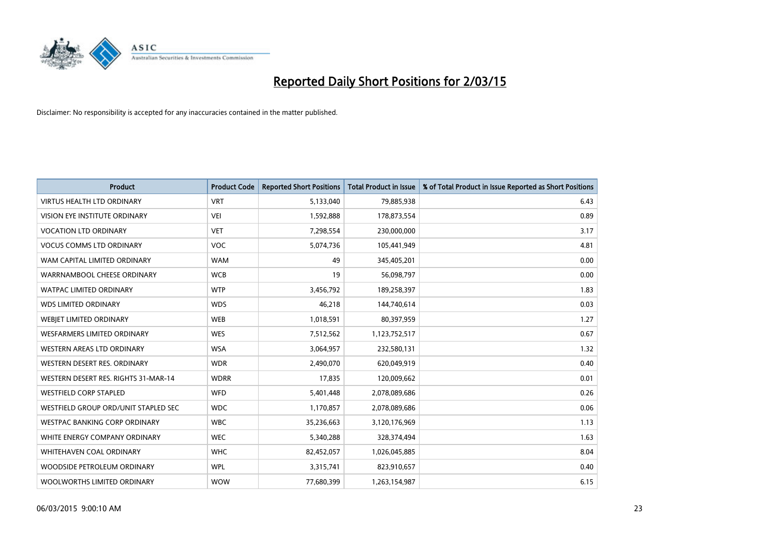

| <b>Product</b>                       | <b>Product Code</b> | <b>Reported Short Positions</b> | <b>Total Product in Issue</b> | % of Total Product in Issue Reported as Short Positions |
|--------------------------------------|---------------------|---------------------------------|-------------------------------|---------------------------------------------------------|
| <b>VIRTUS HEALTH LTD ORDINARY</b>    | <b>VRT</b>          | 5,133,040                       | 79,885,938                    | 6.43                                                    |
| VISION EYE INSTITUTE ORDINARY        | <b>VEI</b>          | 1,592,888                       | 178,873,554                   | 0.89                                                    |
| <b>VOCATION LTD ORDINARY</b>         | <b>VET</b>          | 7,298,554                       | 230,000,000                   | 3.17                                                    |
| <b>VOCUS COMMS LTD ORDINARY</b>      | <b>VOC</b>          | 5,074,736                       | 105,441,949                   | 4.81                                                    |
| WAM CAPITAL LIMITED ORDINARY         | <b>WAM</b>          | 49                              | 345,405,201                   | 0.00                                                    |
| WARRNAMBOOL CHEESE ORDINARY          | <b>WCB</b>          | 19                              | 56,098,797                    | 0.00                                                    |
| <b>WATPAC LIMITED ORDINARY</b>       | <b>WTP</b>          | 3,456,792                       | 189,258,397                   | 1.83                                                    |
| <b>WDS LIMITED ORDINARY</b>          | <b>WDS</b>          | 46,218                          | 144,740,614                   | 0.03                                                    |
| WEBJET LIMITED ORDINARY              | <b>WEB</b>          | 1,018,591                       | 80,397,959                    | 1.27                                                    |
| <b>WESFARMERS LIMITED ORDINARY</b>   | <b>WES</b>          | 7,512,562                       | 1,123,752,517                 | 0.67                                                    |
| WESTERN AREAS LTD ORDINARY           | <b>WSA</b>          | 3,064,957                       | 232,580,131                   | 1.32                                                    |
| WESTERN DESERT RES. ORDINARY         | <b>WDR</b>          | 2,490,070                       | 620,049,919                   | 0.40                                                    |
| WESTERN DESERT RES. RIGHTS 31-MAR-14 | <b>WDRR</b>         | 17,835                          | 120,009,662                   | 0.01                                                    |
| <b>WESTFIELD CORP STAPLED</b>        | <b>WFD</b>          | 5,401,448                       | 2,078,089,686                 | 0.26                                                    |
| WESTFIELD GROUP ORD/UNIT STAPLED SEC | <b>WDC</b>          | 1,170,857                       | 2,078,089,686                 | 0.06                                                    |
| WESTPAC BANKING CORP ORDINARY        | <b>WBC</b>          | 35,236,663                      | 3,120,176,969                 | 1.13                                                    |
| WHITE ENERGY COMPANY ORDINARY        | <b>WEC</b>          | 5,340,288                       | 328,374,494                   | 1.63                                                    |
| WHITEHAVEN COAL ORDINARY             | <b>WHC</b>          | 82,452,057                      | 1,026,045,885                 | 8.04                                                    |
| WOODSIDE PETROLEUM ORDINARY          | <b>WPL</b>          | 3,315,741                       | 823,910,657                   | 0.40                                                    |
| WOOLWORTHS LIMITED ORDINARY          | <b>WOW</b>          | 77,680,399                      | 1,263,154,987                 | 6.15                                                    |